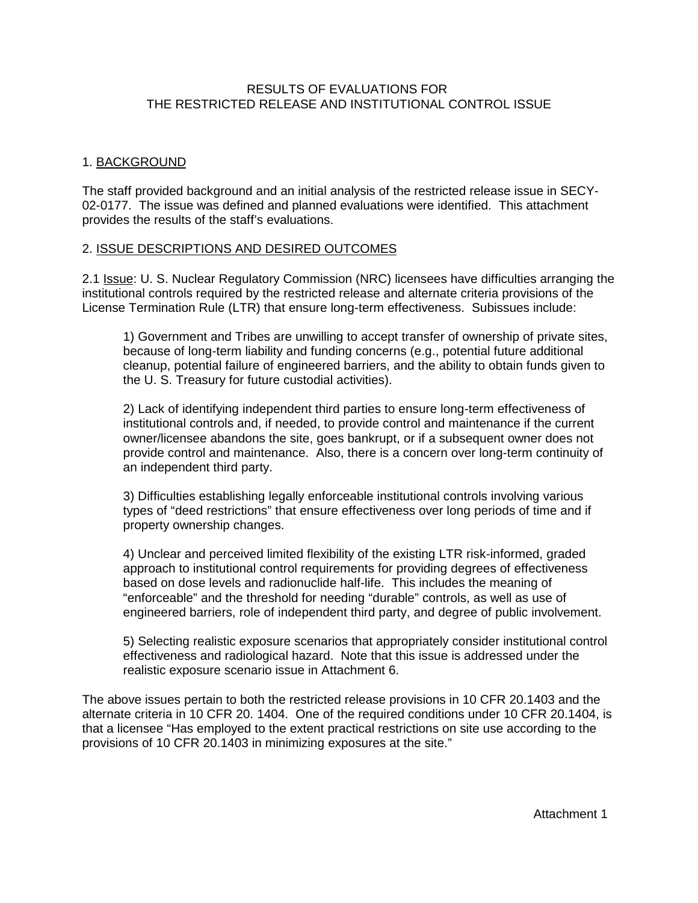# RESULTS OF EVALUATIONS FOR THE RESTRICTED RELEASE AND INSTITUTIONAL CONTROL ISSUE

# 1. BACKGROUND

The staff provided background and an initial analysis of the restricted release issue in SECY-02-0177. The issue was defined and planned evaluations were identified. This attachment provides the results of the staff's evaluations.

# 2. ISSUE DESCRIPTIONS AND DESIRED OUTCOMES

2.1 Issue: U. S. Nuclear Regulatory Commission (NRC) licensees have difficulties arranging the institutional controls required by the restricted release and alternate criteria provisions of the License Termination Rule (LTR) that ensure long-term effectiveness. Subissues include:

1) Government and Tribes are unwilling to accept transfer of ownership of private sites, because of long-term liability and funding concerns (e.g., potential future additional cleanup, potential failure of engineered barriers, and the ability to obtain funds given to the U. S. Treasury for future custodial activities).

2) Lack of identifying independent third parties to ensure long-term effectiveness of institutional controls and, if needed, to provide control and maintenance if the current owner/licensee abandons the site, goes bankrupt, or if a subsequent owner does not provide control and maintenance. Also, there is a concern over long-term continuity of an independent third party.

3) Difficulties establishing legally enforceable institutional controls involving various types of "deed restrictions" that ensure effectiveness over long periods of time and if property ownership changes.

4) Unclear and perceived limited flexibility of the existing LTR risk-informed, graded approach to institutional control requirements for providing degrees of effectiveness based on dose levels and radionuclide half-life. This includes the meaning of "enforceable" and the threshold for needing "durable" controls, as well as use of engineered barriers, role of independent third party, and degree of public involvement.

5) Selecting realistic exposure scenarios that appropriately consider institutional control effectiveness and radiological hazard. Note that this issue is addressed under the realistic exposure scenario issue in Attachment 6.

The above issues pertain to both the restricted release provisions in 10 CFR 20.1403 and the alternate criteria in 10 CFR 20. 1404. One of the required conditions under 10 CFR 20.1404, is that a licensee "Has employed to the extent practical restrictions on site use according to the provisions of 10 CFR 20.1403 in minimizing exposures at the site."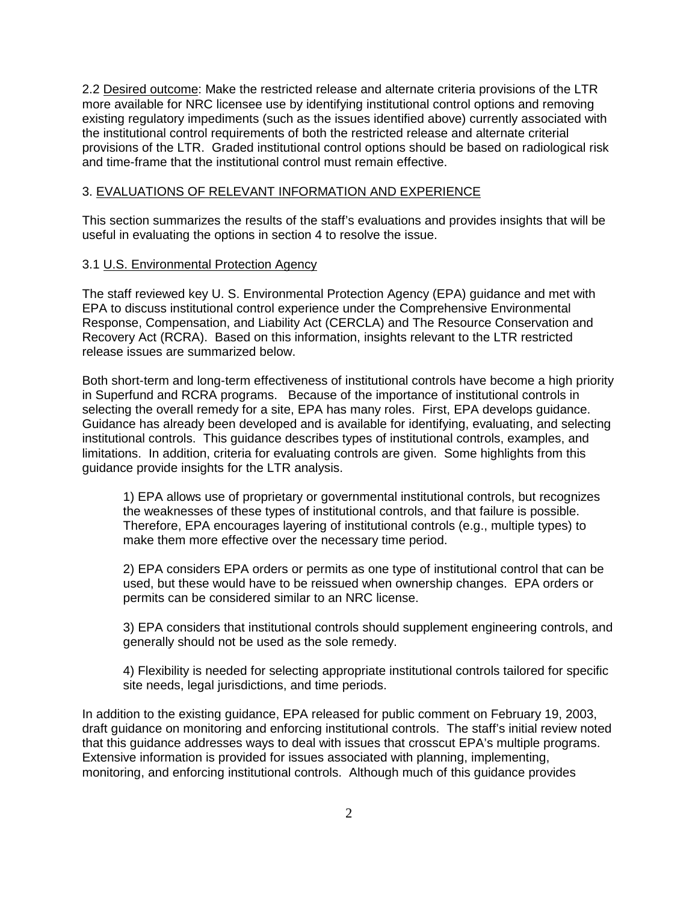2.2 Desired outcome: Make the restricted release and alternate criteria provisions of the LTR more available for NRC licensee use by identifying institutional control options and removing existing regulatory impediments (such as the issues identified above) currently associated with the institutional control requirements of both the restricted release and alternate criterial provisions of the LTR. Graded institutional control options should be based on radiological risk and time-frame that the institutional control must remain effective.

## 3. EVALUATIONS OF RELEVANT INFORMATION AND EXPERIENCE

This section summarizes the results of the staff's evaluations and provides insights that will be useful in evaluating the options in section 4 to resolve the issue.

## 3.1 U.S. Environmental Protection Agency

The staff reviewed key U. S. Environmental Protection Agency (EPA) guidance and met with EPA to discuss institutional control experience under the Comprehensive Environmental Response, Compensation, and Liability Act (CERCLA) and The Resource Conservation and Recovery Act (RCRA). Based on this information, insights relevant to the LTR restricted release issues are summarized below.

Both short-term and long-term effectiveness of institutional controls have become a high priority in Superfund and RCRA programs. Because of the importance of institutional controls in selecting the overall remedy for a site, EPA has many roles. First, EPA develops guidance. Guidance has already been developed and is available for identifying, evaluating, and selecting institutional controls. This guidance describes types of institutional controls, examples, and limitations. In addition, criteria for evaluating controls are given. Some highlights from this guidance provide insights for the LTR analysis.

1) EPA allows use of proprietary or governmental institutional controls, but recognizes the weaknesses of these types of institutional controls, and that failure is possible. Therefore, EPA encourages layering of institutional controls (e.g., multiple types) to make them more effective over the necessary time period.

2) EPA considers EPA orders or permits as one type of institutional control that can be used, but these would have to be reissued when ownership changes. EPA orders or permits can be considered similar to an NRC license.

3) EPA considers that institutional controls should supplement engineering controls, and generally should not be used as the sole remedy.

4) Flexibility is needed for selecting appropriate institutional controls tailored for specific site needs, legal jurisdictions, and time periods.

In addition to the existing guidance, EPA released for public comment on February 19, 2003, draft guidance on monitoring and enforcing institutional controls. The staff's initial review noted that this guidance addresses ways to deal with issues that crosscut EPA's multiple programs. Extensive information is provided for issues associated with planning, implementing, monitoring, and enforcing institutional controls. Although much of this guidance provides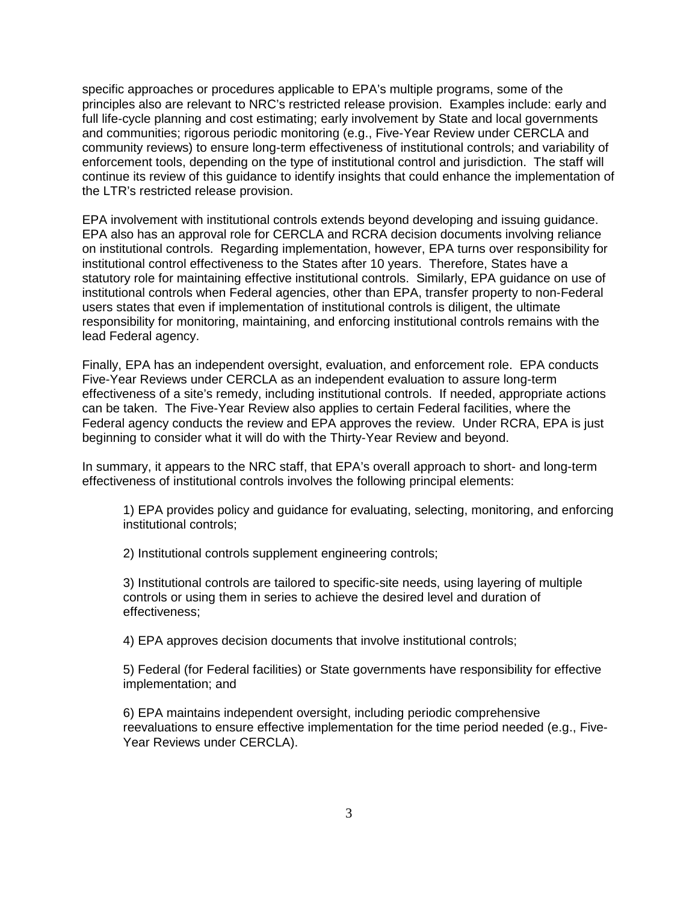specific approaches or procedures applicable to EPA's multiple programs, some of the principles also are relevant to NRC's restricted release provision. Examples include: early and full life-cycle planning and cost estimating; early involvement by State and local governments and communities; rigorous periodic monitoring (e.g., Five-Year Review under CERCLA and community reviews) to ensure long-term effectiveness of institutional controls; and variability of enforcement tools, depending on the type of institutional control and jurisdiction. The staff will continue its review of this guidance to identify insights that could enhance the implementation of the LTR's restricted release provision.

EPA involvement with institutional controls extends beyond developing and issuing guidance. EPA also has an approval role for CERCLA and RCRA decision documents involving reliance on institutional controls. Regarding implementation, however, EPA turns over responsibility for institutional control effectiveness to the States after 10 years. Therefore, States have a statutory role for maintaining effective institutional controls. Similarly, EPA guidance on use of institutional controls when Federal agencies, other than EPA, transfer property to non-Federal users states that even if implementation of institutional controls is diligent, the ultimate responsibility for monitoring, maintaining, and enforcing institutional controls remains with the lead Federal agency.

Finally, EPA has an independent oversight, evaluation, and enforcement role. EPA conducts Five-Year Reviews under CERCLA as an independent evaluation to assure long-term effectiveness of a site's remedy, including institutional controls. If needed, appropriate actions can be taken. The Five-Year Review also applies to certain Federal facilities, where the Federal agency conducts the review and EPA approves the review. Under RCRA, EPA is just beginning to consider what it will do with the Thirty-Year Review and beyond.

In summary, it appears to the NRC staff, that EPA's overall approach to short- and long-term effectiveness of institutional controls involves the following principal elements:

1) EPA provides policy and guidance for evaluating, selecting, monitoring, and enforcing institutional controls;

2) Institutional controls supplement engineering controls;

3) Institutional controls are tailored to specific-site needs, using layering of multiple controls or using them in series to achieve the desired level and duration of effectiveness;

4) EPA approves decision documents that involve institutional controls;

5) Federal (for Federal facilities) or State governments have responsibility for effective implementation; and

6) EPA maintains independent oversight, including periodic comprehensive reevaluations to ensure effective implementation for the time period needed (e.g., Five-Year Reviews under CERCLA).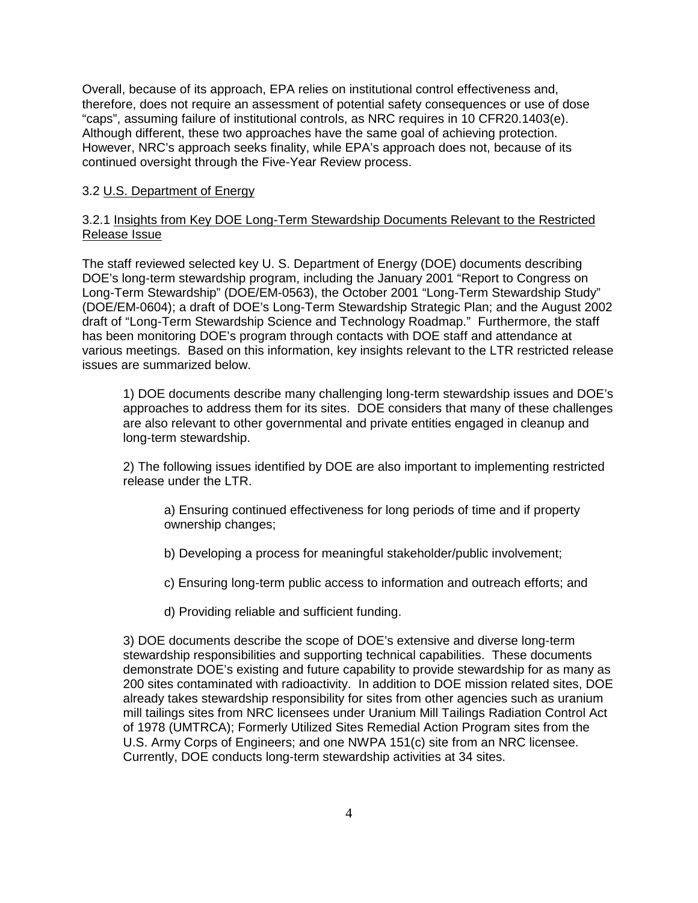Overall, because of its approach, EPA relies on institutional control effectiveness and, therefore, does not require an assessment of potential safety consequences or use of dose "caps", assuming failure of institutional controls, as NRC requires in 10 CFR20.1403(e). Although different, these two approaches have the same goal of achieving protection. However, NRC's approach seeks finality, while EPA's approach does not, because of its continued oversight through the Five-Year Review process.

# 3.2 U.S. Department of Energy

# 3.2.1 Insights from Key DOE Long-Term Stewardship Documents Relevant to the Restricted Release Issue

The staff reviewed selected key U. S. Department of Energy (DOE) documents describing DOE's long-term stewardship program, including the January 2001 "Report to Congress on Long-Term Stewardship" (DOE/EM-0563), the October 2001 "Long-Term Stewardship Study" (DOE/EM-0604); a draft of DOE's Long-Term Stewardship Strategic Plan; and the August 2002 draft of "Long-Term Stewardship Science and Technology Roadmap." Furthermore, the staff has been monitoring DOE's program through contacts with DOE staff and attendance at various meetings. Based on this information, key insights relevant to the LTR restricted release issues are summarized below.

1) DOE documents describe many challenging long-term stewardship issues and DOE's approaches to address them for its sites. DOE considers that many of these challenges are also relevant to other governmental and private entities engaged in cleanup and long-term stewardship.

2) The following issues identified by DOE are also important to implementing restricted release under the LTR.

a) Ensuring continued effectiveness for long periods of time and if property ownership changes;

b) Developing a process for meaningful stakeholder/public involvement;

c) Ensuring long-term public access to information and outreach efforts; and

d) Providing reliable and sufficient funding.

3) DOE documents describe the scope of DOE's extensive and diverse long-term stewardship responsibilities and supporting technical capabilities. These documents demonstrate DOE's existing and future capability to provide stewardship for as many as 200 sites contaminated with radioactivity. In addition to DOE mission related sites, DOE already takes stewardship responsibility for sites from other agencies such as uranium mill tailings sites from NRC licensees under Uranium Mill Tailings Radiation Control Act of 1978 (UMTRCA); Formerly Utilized Sites Remedial Action Program sites from the U.S. Army Corps of Engineers; and one NWPA 151(c) site from an NRC licensee. Currently, DOE conducts long-term stewardship activities at 34 sites.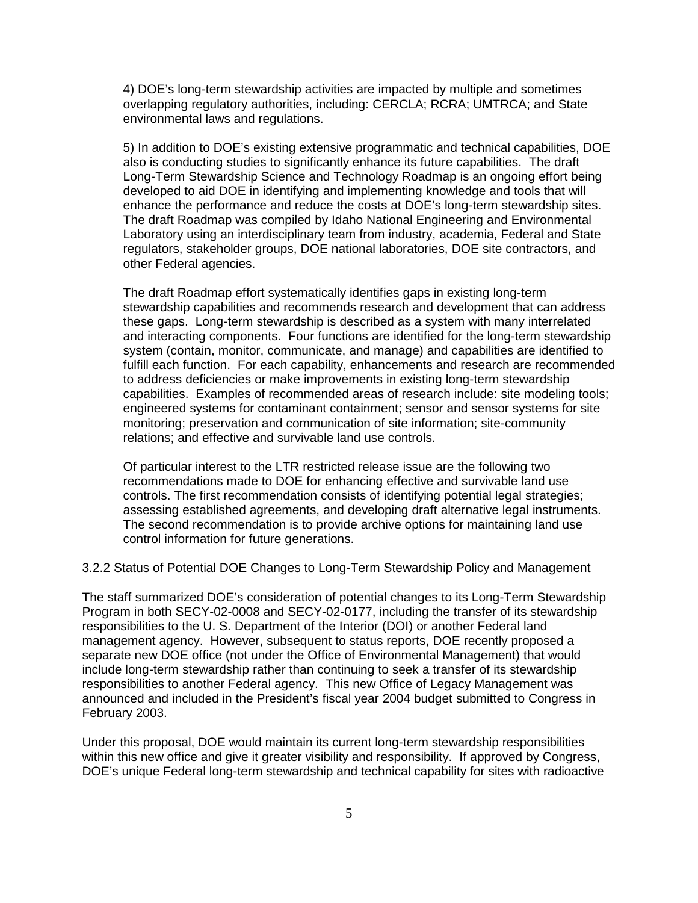4) DOE's long-term stewardship activities are impacted by multiple and sometimes overlapping regulatory authorities, including: CERCLA; RCRA; UMTRCA; and State environmental laws and regulations.

5) In addition to DOE's existing extensive programmatic and technical capabilities, DOE also is conducting studies to significantly enhance its future capabilities. The draft Long-Term Stewardship Science and Technology Roadmap is an ongoing effort being developed to aid DOE in identifying and implementing knowledge and tools that will enhance the performance and reduce the costs at DOE's long-term stewardship sites. The draft Roadmap was compiled by Idaho National Engineering and Environmental Laboratory using an interdisciplinary team from industry, academia, Federal and State regulators, stakeholder groups, DOE national laboratories, DOE site contractors, and other Federal agencies.

The draft Roadmap effort systematically identifies gaps in existing long-term stewardship capabilities and recommends research and development that can address these gaps. Long-term stewardship is described as a system with many interrelated and interacting components. Four functions are identified for the long-term stewardship system (contain, monitor, communicate, and manage) and capabilities are identified to fulfill each function. For each capability, enhancements and research are recommended to address deficiencies or make improvements in existing long-term stewardship capabilities. Examples of recommended areas of research include: site modeling tools; engineered systems for contaminant containment; sensor and sensor systems for site monitoring; preservation and communication of site information; site-community relations; and effective and survivable land use controls.

Of particular interest to the LTR restricted release issue are the following two recommendations made to DOE for enhancing effective and survivable land use controls. The first recommendation consists of identifying potential legal strategies; assessing established agreements, and developing draft alternative legal instruments. The second recommendation is to provide archive options for maintaining land use control information for future generations.

## 3.2.2 Status of Potential DOE Changes to Long-Term Stewardship Policy and Management

The staff summarized DOE's consideration of potential changes to its Long-Term Stewardship Program in both SECY-02-0008 and SECY-02-0177, including the transfer of its stewardship responsibilities to the U. S. Department of the Interior (DOI) or another Federal land management agency. However, subsequent to status reports, DOE recently proposed a separate new DOE office (not under the Office of Environmental Management) that would include long-term stewardship rather than continuing to seek a transfer of its stewardship responsibilities to another Federal agency. This new Office of Legacy Management was announced and included in the President's fiscal year 2004 budget submitted to Congress in February 2003.

Under this proposal, DOE would maintain its current long-term stewardship responsibilities within this new office and give it greater visibility and responsibility. If approved by Congress, DOE's unique Federal long-term stewardship and technical capability for sites with radioactive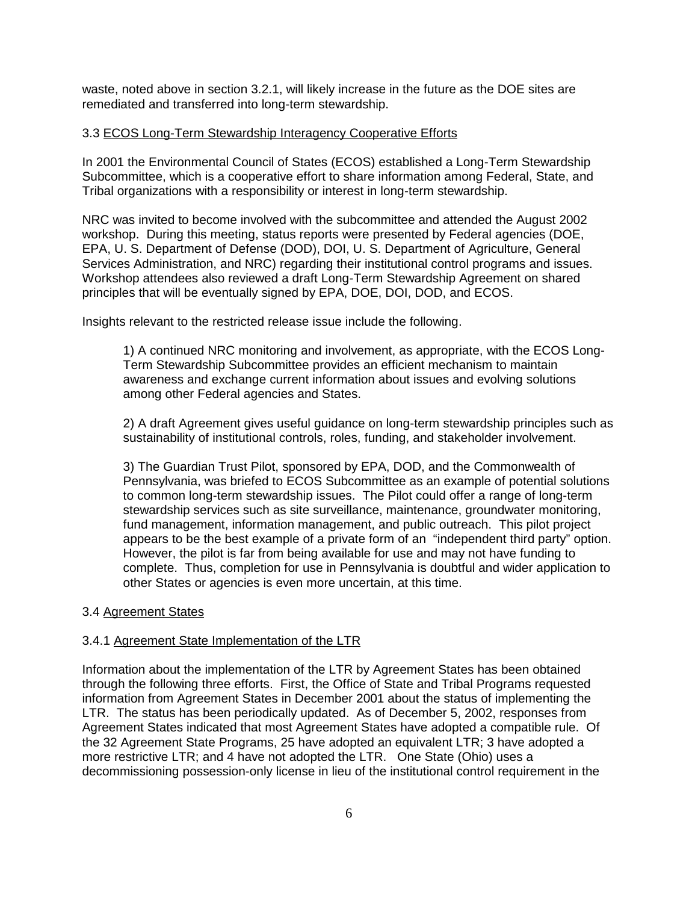waste, noted above in section 3.2.1, will likely increase in the future as the DOE sites are remediated and transferred into long-term stewardship.

## 3.3 ECOS Long-Term Stewardship Interagency Cooperative Efforts

In 2001 the Environmental Council of States (ECOS) established a Long-Term Stewardship Subcommittee, which is a cooperative effort to share information among Federal, State, and Tribal organizations with a responsibility or interest in long-term stewardship.

NRC was invited to become involved with the subcommittee and attended the August 2002 workshop. During this meeting, status reports were presented by Federal agencies (DOE, EPA, U. S. Department of Defense (DOD), DOI, U. S. Department of Agriculture, General Services Administration, and NRC) regarding their institutional control programs and issues. Workshop attendees also reviewed a draft Long-Term Stewardship Agreement on shared principles that will be eventually signed by EPA, DOE, DOI, DOD, and ECOS.

Insights relevant to the restricted release issue include the following.

1) A continued NRC monitoring and involvement, as appropriate, with the ECOS Long-Term Stewardship Subcommittee provides an efficient mechanism to maintain awareness and exchange current information about issues and evolving solutions among other Federal agencies and States.

2) A draft Agreement gives useful guidance on long-term stewardship principles such as sustainability of institutional controls, roles, funding, and stakeholder involvement.

3) The Guardian Trust Pilot, sponsored by EPA, DOD, and the Commonwealth of Pennsylvania, was briefed to ECOS Subcommittee as an example of potential solutions to common long-term stewardship issues. The Pilot could offer a range of long-term stewardship services such as site surveillance, maintenance, groundwater monitoring, fund management, information management, and public outreach. This pilot project appears to be the best example of a private form of an "independent third party" option. However, the pilot is far from being available for use and may not have funding to complete. Thus, completion for use in Pennsylvania is doubtful and wider application to other States or agencies is even more uncertain, at this time.

## 3.4 Agreement States

### 3.4.1 Agreement State Implementation of the LTR

Information about the implementation of the LTR by Agreement States has been obtained through the following three efforts. First, the Office of State and Tribal Programs requested information from Agreement States in December 2001 about the status of implementing the LTR. The status has been periodically updated. As of December 5, 2002, responses from Agreement States indicated that most Agreement States have adopted a compatible rule. Of the 32 Agreement State Programs, 25 have adopted an equivalent LTR; 3 have adopted a more restrictive LTR; and 4 have not adopted the LTR. One State (Ohio) uses a decommissioning possession-only license in lieu of the institutional control requirement in the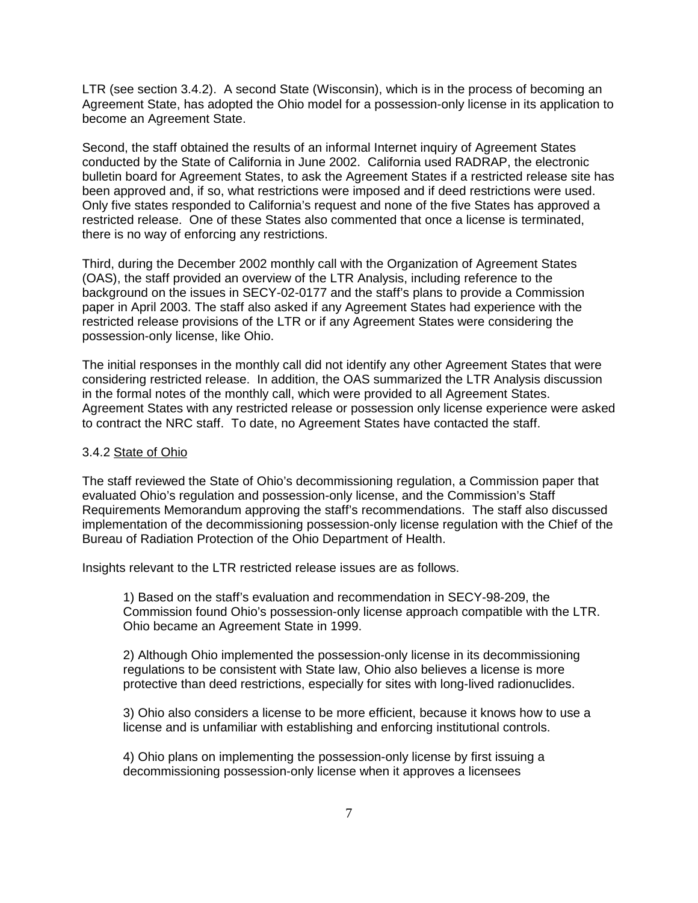LTR (see section 3.4.2). A second State (Wisconsin), which is in the process of becoming an Agreement State, has adopted the Ohio model for a possession-only license in its application to become an Agreement State.

Second, the staff obtained the results of an informal Internet inquiry of Agreement States conducted by the State of California in June 2002. California used RADRAP, the electronic bulletin board for Agreement States, to ask the Agreement States if a restricted release site has been approved and, if so, what restrictions were imposed and if deed restrictions were used. Only five states responded to California's request and none of the five States has approved a restricted release. One of these States also commented that once a license is terminated, there is no way of enforcing any restrictions.

Third, during the December 2002 monthly call with the Organization of Agreement States (OAS), the staff provided an overview of the LTR Analysis, including reference to the background on the issues in SECY-02-0177 and the staff's plans to provide a Commission paper in April 2003. The staff also asked if any Agreement States had experience with the restricted release provisions of the LTR or if any Agreement States were considering the possession-only license, like Ohio.

The initial responses in the monthly call did not identify any other Agreement States that were considering restricted release. In addition, the OAS summarized the LTR Analysis discussion in the formal notes of the monthly call, which were provided to all Agreement States. Agreement States with any restricted release or possession only license experience were asked to contract the NRC staff. To date, no Agreement States have contacted the staff.

#### 3.4.2 State of Ohio

The staff reviewed the State of Ohio's decommissioning regulation, a Commission paper that evaluated Ohio's regulation and possession-only license, and the Commission's Staff Requirements Memorandum approving the staff's recommendations. The staff also discussed implementation of the decommissioning possession-only license regulation with the Chief of the Bureau of Radiation Protection of the Ohio Department of Health.

Insights relevant to the LTR restricted release issues are as follows.

1) Based on the staff's evaluation and recommendation in SECY-98-209, the Commission found Ohio's possession-only license approach compatible with the LTR. Ohio became an Agreement State in 1999.

2) Although Ohio implemented the possession-only license in its decommissioning regulations to be consistent with State law, Ohio also believes a license is more protective than deed restrictions, especially for sites with long-lived radionuclides.

3) Ohio also considers a license to be more efficient, because it knows how to use a license and is unfamiliar with establishing and enforcing institutional controls.

4) Ohio plans on implementing the possession-only license by first issuing a decommissioning possession-only license when it approves a licensees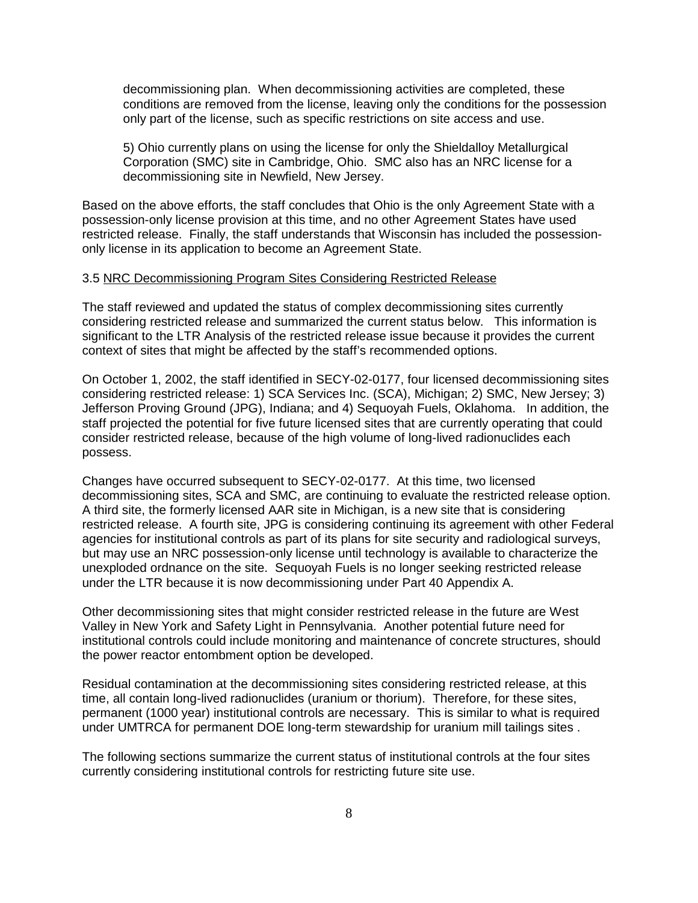decommissioning plan. When decommissioning activities are completed, these conditions are removed from the license, leaving only the conditions for the possession only part of the license, such as specific restrictions on site access and use.

5) Ohio currently plans on using the license for only the Shieldalloy Metallurgical Corporation (SMC) site in Cambridge, Ohio. SMC also has an NRC license for a decommissioning site in Newfield, New Jersey.

Based on the above efforts, the staff concludes that Ohio is the only Agreement State with a possession-only license provision at this time, and no other Agreement States have used restricted release. Finally, the staff understands that Wisconsin has included the possessiononly license in its application to become an Agreement State.

## 3.5 NRC Decommissioning Program Sites Considering Restricted Release

The staff reviewed and updated the status of complex decommissioning sites currently considering restricted release and summarized the current status below. This information is significant to the LTR Analysis of the restricted release issue because it provides the current context of sites that might be affected by the staff's recommended options.

On October 1, 2002, the staff identified in SECY-02-0177, four licensed decommissioning sites considering restricted release: 1) SCA Services Inc. (SCA), Michigan; 2) SMC, New Jersey; 3) Jefferson Proving Ground (JPG), Indiana; and 4) Sequoyah Fuels, Oklahoma. In addition, the staff projected the potential for five future licensed sites that are currently operating that could consider restricted release, because of the high volume of long-lived radionuclides each possess.

Changes have occurred subsequent to SECY-02-0177. At this time, two licensed decommissioning sites, SCA and SMC, are continuing to evaluate the restricted release option. A third site, the formerly licensed AAR site in Michigan, is a new site that is considering restricted release. A fourth site, JPG is considering continuing its agreement with other Federal agencies for institutional controls as part of its plans for site security and radiological surveys, but may use an NRC possession-only license until technology is available to characterize the unexploded ordnance on the site. Sequoyah Fuels is no longer seeking restricted release under the LTR because it is now decommissioning under Part 40 Appendix A.

Other decommissioning sites that might consider restricted release in the future are West Valley in New York and Safety Light in Pennsylvania. Another potential future need for institutional controls could include monitoring and maintenance of concrete structures, should the power reactor entombment option be developed.

Residual contamination at the decommissioning sites considering restricted release, at this time, all contain long-lived radionuclides (uranium or thorium). Therefore, for these sites, permanent (1000 year) institutional controls are necessary. This is similar to what is required under UMTRCA for permanent DOE long-term stewardship for uranium mill tailings sites .

The following sections summarize the current status of institutional controls at the four sites currently considering institutional controls for restricting future site use.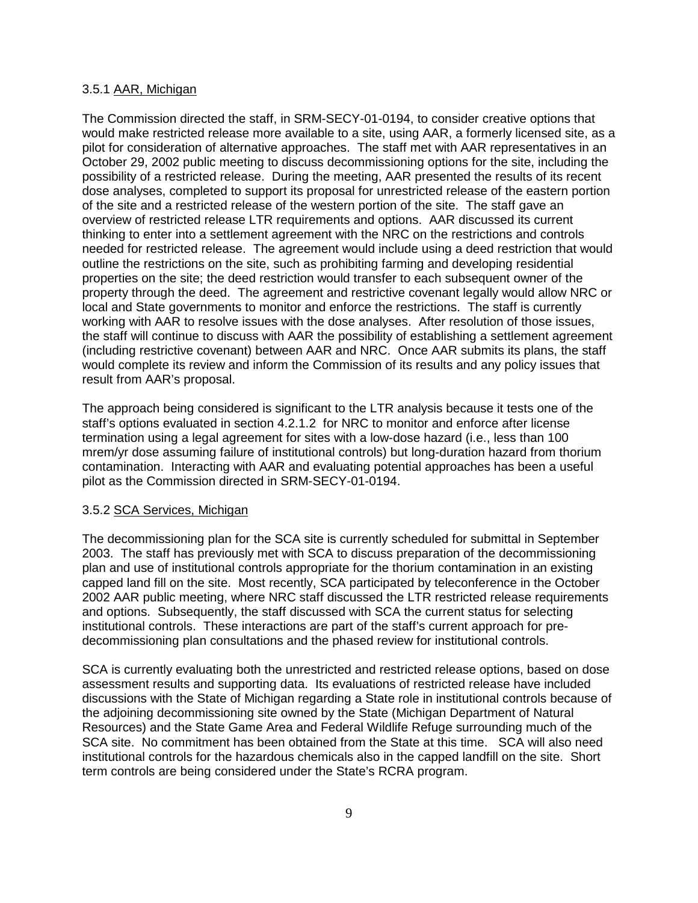### 3.5.1 AAR, Michigan

The Commission directed the staff, in SRM-SECY-01-0194, to consider creative options that would make restricted release more available to a site, using AAR, a formerly licensed site, as a pilot for consideration of alternative approaches. The staff met with AAR representatives in an October 29, 2002 public meeting to discuss decommissioning options for the site, including the possibility of a restricted release. During the meeting, AAR presented the results of its recent dose analyses, completed to support its proposal for unrestricted release of the eastern portion of the site and a restricted release of the western portion of the site. The staff gave an overview of restricted release LTR requirements and options. AAR discussed its current thinking to enter into a settlement agreement with the NRC on the restrictions and controls needed for restricted release. The agreement would include using a deed restriction that would outline the restrictions on the site, such as prohibiting farming and developing residential properties on the site; the deed restriction would transfer to each subsequent owner of the property through the deed. The agreement and restrictive covenant legally would allow NRC or local and State governments to monitor and enforce the restrictions. The staff is currently working with AAR to resolve issues with the dose analyses. After resolution of those issues, the staff will continue to discuss with AAR the possibility of establishing a settlement agreement (including restrictive covenant) between AAR and NRC. Once AAR submits its plans, the staff would complete its review and inform the Commission of its results and any policy issues that result from AAR's proposal.

The approach being considered is significant to the LTR analysis because it tests one of the staff's options evaluated in section 4.2.1.2 for NRC to monitor and enforce after license termination using a legal agreement for sites with a low-dose hazard (i.e., less than 100 mrem/yr dose assuming failure of institutional controls) but long-duration hazard from thorium contamination. Interacting with AAR and evaluating potential approaches has been a useful pilot as the Commission directed in SRM-SECY-01-0194.

# 3.5.2 SCA Services, Michigan

The decommissioning plan for the SCA site is currently scheduled for submittal in September 2003. The staff has previously met with SCA to discuss preparation of the decommissioning plan and use of institutional controls appropriate for the thorium contamination in an existing capped land fill on the site. Most recently, SCA participated by teleconference in the October 2002 AAR public meeting, where NRC staff discussed the LTR restricted release requirements and options. Subsequently, the staff discussed with SCA the current status for selecting institutional controls. These interactions are part of the staff's current approach for predecommissioning plan consultations and the phased review for institutional controls.

SCA is currently evaluating both the unrestricted and restricted release options, based on dose assessment results and supporting data. Its evaluations of restricted release have included discussions with the State of Michigan regarding a State role in institutional controls because of the adjoining decommissioning site owned by the State (Michigan Department of Natural Resources) and the State Game Area and Federal Wildlife Refuge surrounding much of the SCA site. No commitment has been obtained from the State at this time. SCA will also need institutional controls for the hazardous chemicals also in the capped landfill on the site. Short term controls are being considered under the State's RCRA program.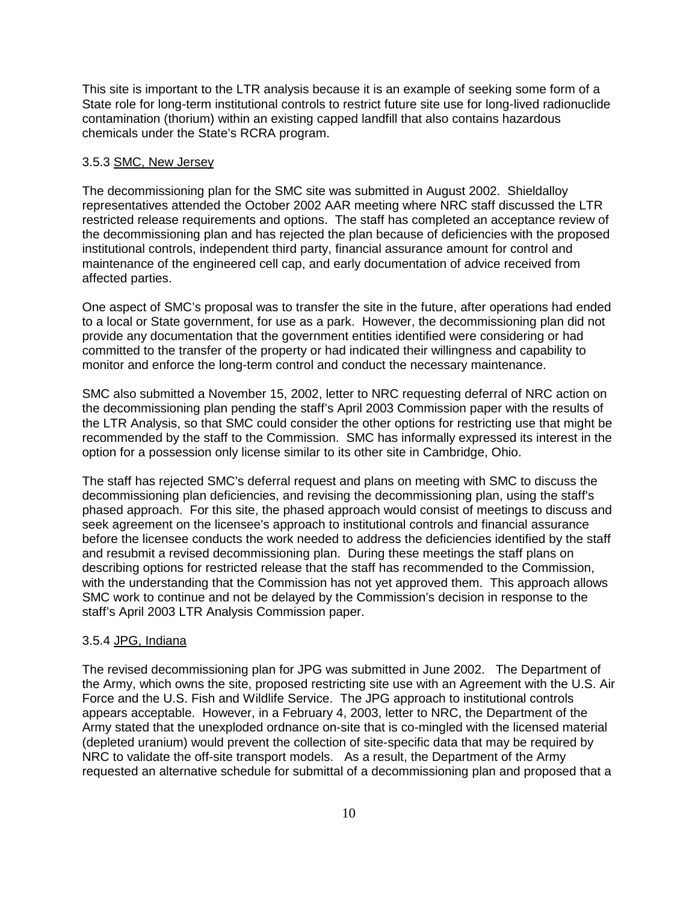This site is important to the LTR analysis because it is an example of seeking some form of a State role for long-term institutional controls to restrict future site use for long-lived radionuclide contamination (thorium) within an existing capped landfill that also contains hazardous chemicals under the State's RCRA program.

## 3.5.3 SMC, New Jersey

The decommissioning plan for the SMC site was submitted in August 2002. Shieldalloy representatives attended the October 2002 AAR meeting where NRC staff discussed the LTR restricted release requirements and options. The staff has completed an acceptance review of the decommissioning plan and has rejected the plan because of deficiencies with the proposed institutional controls, independent third party, financial assurance amount for control and maintenance of the engineered cell cap, and early documentation of advice received from affected parties.

One aspect of SMC's proposal was to transfer the site in the future, after operations had ended to a local or State government, for use as a park. However, the decommissioning plan did not provide any documentation that the government entities identified were considering or had committed to the transfer of the property or had indicated their willingness and capability to monitor and enforce the long-term control and conduct the necessary maintenance.

SMC also submitted a November 15, 2002, letter to NRC requesting deferral of NRC action on the decommissioning plan pending the staff's April 2003 Commission paper with the results of the LTR Analysis, so that SMC could consider the other options for restricting use that might be recommended by the staff to the Commission. SMC has informally expressed its interest in the option for a possession only license similar to its other site in Cambridge, Ohio.

The staff has rejected SMC's deferral request and plans on meeting with SMC to discuss the decommissioning plan deficiencies, and revising the decommissioning plan, using the staff's phased approach. For this site, the phased approach would consist of meetings to discuss and seek agreement on the licensee's approach to institutional controls and financial assurance before the licensee conducts the work needed to address the deficiencies identified by the staff and resubmit a revised decommissioning plan. During these meetings the staff plans on describing options for restricted release that the staff has recommended to the Commission, with the understanding that the Commission has not yet approved them. This approach allows SMC work to continue and not be delayed by the Commission's decision in response to the staff's April 2003 LTR Analysis Commission paper.

### 3.5.4 JPG, Indiana

The revised decommissioning plan for JPG was submitted in June 2002. The Department of the Army, which owns the site, proposed restricting site use with an Agreement with the U.S. Air Force and the U.S. Fish and Wildlife Service. The JPG approach to institutional controls appears acceptable. However, in a February 4, 2003, letter to NRC, the Department of the Army stated that the unexploded ordnance on-site that is co-mingled with the licensed material (depleted uranium) would prevent the collection of site-specific data that may be required by NRC to validate the off-site transport models. As a result, the Department of the Army requested an alternative schedule for submittal of a decommissioning plan and proposed that a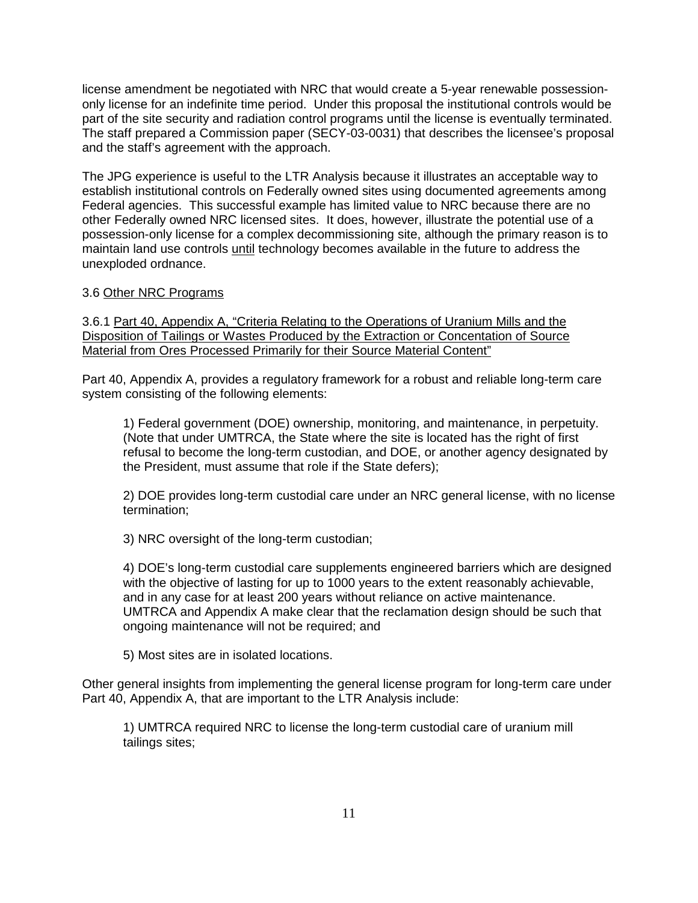license amendment be negotiated with NRC that would create a 5-year renewable possessiononly license for an indefinite time period. Under this proposal the institutional controls would be part of the site security and radiation control programs until the license is eventually terminated. The staff prepared a Commission paper (SECY-03-0031) that describes the licensee's proposal and the staff's agreement with the approach.

The JPG experience is useful to the LTR Analysis because it illustrates an acceptable way to establish institutional controls on Federally owned sites using documented agreements among Federal agencies. This successful example has limited value to NRC because there are no other Federally owned NRC licensed sites. It does, however, illustrate the potential use of a possession-only license for a complex decommissioning site, although the primary reason is to maintain land use controls until technology becomes available in the future to address the unexploded ordnance.

## 3.6 Other NRC Programs

3.6.1 Part 40, Appendix A, "Criteria Relating to the Operations of Uranium Mills and the Disposition of Tailings or Wastes Produced by the Extraction or Concentation of Source Material from Ores Processed Primarily for their Source Material Content"

Part 40, Appendix A, provides a regulatory framework for a robust and reliable long-term care system consisting of the following elements:

1) Federal government (DOE) ownership, monitoring, and maintenance, in perpetuity. (Note that under UMTRCA, the State where the site is located has the right of first refusal to become the long-term custodian, and DOE, or another agency designated by the President, must assume that role if the State defers);

2) DOE provides long-term custodial care under an NRC general license, with no license termination;

3) NRC oversight of the long-term custodian;

4) DOE's long-term custodial care supplements engineered barriers which are designed with the objective of lasting for up to 1000 years to the extent reasonably achievable, and in any case for at least 200 years without reliance on active maintenance. UMTRCA and Appendix A make clear that the reclamation design should be such that ongoing maintenance will not be required; and

5) Most sites are in isolated locations.

Other general insights from implementing the general license program for long-term care under Part 40, Appendix A, that are important to the LTR Analysis include:

1) UMTRCA required NRC to license the long-term custodial care of uranium mill tailings sites;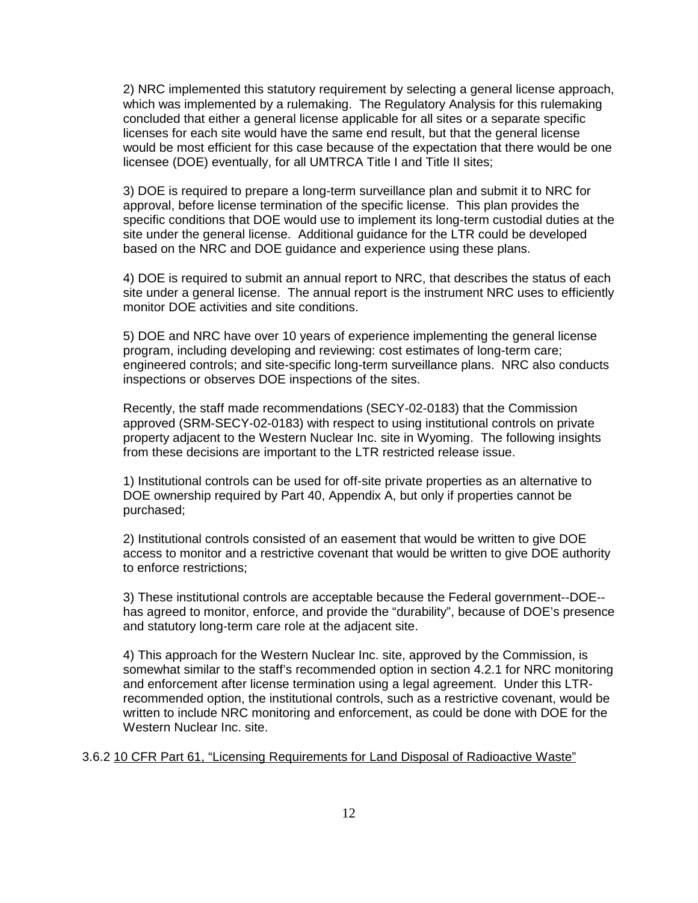2) NRC implemented this statutory requirement by selecting a general license approach, which was implemented by a rulemaking. The Regulatory Analysis for this rulemaking concluded that either a general license applicable for all sites or a separate specific licenses for each site would have the same end result, but that the general license would be most efficient for this case because of the expectation that there would be one licensee (DOE) eventually, for all UMTRCA Title I and Title II sites;

3) DOE is required to prepare a long-term surveillance plan and submit it to NRC for approval, before license termination of the specific license. This plan provides the specific conditions that DOE would use to implement its long-term custodial duties at the site under the general license. Additional guidance for the LTR could be developed based on the NRC and DOE guidance and experience using these plans.

4) DOE is required to submit an annual report to NRC, that describes the status of each site under a general license. The annual report is the instrument NRC uses to efficiently monitor DOE activities and site conditions.

5) DOE and NRC have over 10 years of experience implementing the general license program, including developing and reviewing: cost estimates of long-term care; engineered controls; and site-specific long-term surveillance plans. NRC also conducts inspections or observes DOE inspections of the sites.

Recently, the staff made recommendations (SECY-02-0183) that the Commission approved (SRM-SECY-02-0183) with respect to using institutional controls on private property adjacent to the Western Nuclear Inc. site in Wyoming. The following insights from these decisions are important to the LTR restricted release issue.

1) Institutional controls can be used for off-site private properties as an alternative to DOE ownership required by Part 40, Appendix A, but only if properties cannot be purchased;

2) Institutional controls consisted of an easement that would be written to give DOE access to monitor and a restrictive covenant that would be written to give DOE authority to enforce restrictions;

3) These institutional controls are acceptable because the Federal government--DOE- has agreed to monitor, enforce, and provide the "durability", because of DOE's presence and statutory long-term care role at the adjacent site.

4) This approach for the Western Nuclear Inc. site, approved by the Commission, is somewhat similar to the staff's recommended option in section 4.2.1 for NRC monitoring and enforcement after license termination using a legal agreement. Under this LTRrecommended option, the institutional controls, such as a restrictive covenant, would be written to include NRC monitoring and enforcement, as could be done with DOE for the Western Nuclear Inc. site.

3.6.2 10 CFR Part 61, "Licensing Requirements for Land Disposal of Radioactive Waste"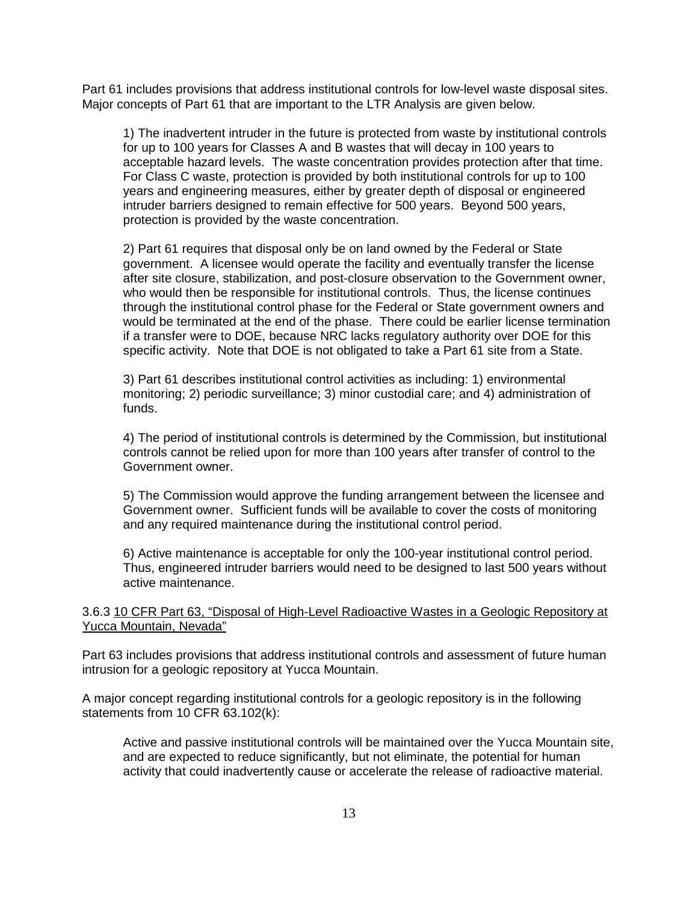Part 61 includes provisions that address institutional controls for low-level waste disposal sites. Major concepts of Part 61 that are important to the LTR Analysis are given below.

1) The inadvertent intruder in the future is protected from waste by institutional controls for up to 100 years for Classes A and B wastes that will decay in 100 years to acceptable hazard levels. The waste concentration provides protection after that time. For Class C waste, protection is provided by both institutional controls for up to 100 years and engineering measures, either by greater depth of disposal or engineered intruder barriers designed to remain effective for 500 years. Beyond 500 years, protection is provided by the waste concentration.

2) Part 61 requires that disposal only be on land owned by the Federal or State government. A licensee would operate the facility and eventually transfer the license after site closure, stabilization, and post-closure observation to the Government owner, who would then be responsible for institutional controls. Thus, the license continues through the institutional control phase for the Federal or State government owners and would be terminated at the end of the phase. There could be earlier license termination if a transfer were to DOE, because NRC lacks regulatory authority over DOE for this specific activity. Note that DOE is not obligated to take a Part 61 site from a State.

3) Part 61 describes institutional control activities as including: 1) environmental monitoring; 2) periodic surveillance; 3) minor custodial care; and 4) administration of funds.

4) The period of institutional controls is determined by the Commission, but institutional controls cannot be relied upon for more than 100 years after transfer of control to the Government owner.

5) The Commission would approve the funding arrangement between the licensee and Government owner. Sufficient funds will be available to cover the costs of monitoring and any required maintenance during the institutional control period.

6) Active maintenance is acceptable for only the 100-year institutional control period. Thus, engineered intruder barriers would need to be designed to last 500 years without active maintenance.

3.6.3 10 CFR Part 63, "Disposal of High-Level Radioactive Wastes in a Geologic Repository at Yucca Mountain, Nevada"

Part 63 includes provisions that address institutional controls and assessment of future human intrusion for a geologic repository at Yucca Mountain.

A major concept regarding institutional controls for a geologic repository is in the following statements from 10 CFR 63.102(k):

Active and passive institutional controls will be maintained over the Yucca Mountain site, and are expected to reduce significantly, but not eliminate, the potential for human activity that could inadvertently cause or accelerate the release of radioactive material.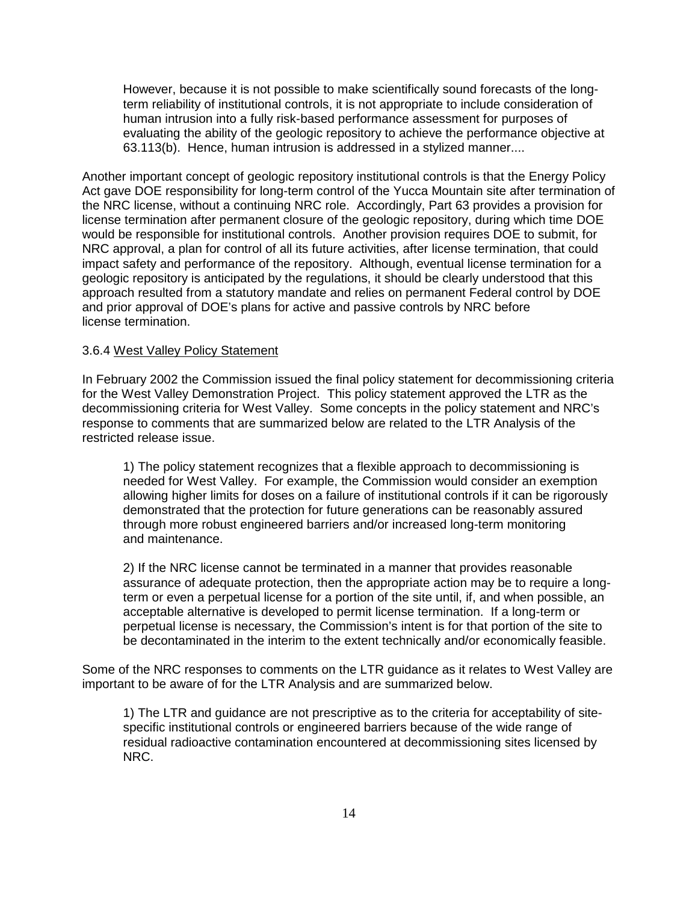However, because it is not possible to make scientifically sound forecasts of the longterm reliability of institutional controls, it is not appropriate to include consideration of human intrusion into a fully risk-based performance assessment for purposes of evaluating the ability of the geologic repository to achieve the performance objective at 63.113(b). Hence, human intrusion is addressed in a stylized manner....

Another important concept of geologic repository institutional controls is that the Energy Policy Act gave DOE responsibility for long-term control of the Yucca Mountain site after termination of the NRC license, without a continuing NRC role. Accordingly, Part 63 provides a provision for license termination after permanent closure of the geologic repository, during which time DOE would be responsible for institutional controls. Another provision requires DOE to submit, for NRC approval, a plan for control of all its future activities, after license termination, that could impact safety and performance of the repository. Although, eventual license termination for a geologic repository is anticipated by the regulations, it should be clearly understood that this approach resulted from a statutory mandate and relies on permanent Federal control by DOE and prior approval of DOE's plans for active and passive controls by NRC before license termination.

# 3.6.4 West Valley Policy Statement

In February 2002 the Commission issued the final policy statement for decommissioning criteria for the West Valley Demonstration Project. This policy statement approved the LTR as the decommissioning criteria for West Valley. Some concepts in the policy statement and NRC's response to comments that are summarized below are related to the LTR Analysis of the restricted release issue.

1) The policy statement recognizes that a flexible approach to decommissioning is needed for West Valley. For example, the Commission would consider an exemption allowing higher limits for doses on a failure of institutional controls if it can be rigorously demonstrated that the protection for future generations can be reasonably assured through more robust engineered barriers and/or increased long-term monitoring and maintenance.

2) If the NRC license cannot be terminated in a manner that provides reasonable assurance of adequate protection, then the appropriate action may be to require a longterm or even a perpetual license for a portion of the site until, if, and when possible, an acceptable alternative is developed to permit license termination. If a long-term or perpetual license is necessary, the Commission's intent is for that portion of the site to be decontaminated in the interim to the extent technically and/or economically feasible.

Some of the NRC responses to comments on the LTR guidance as it relates to West Valley are important to be aware of for the LTR Analysis and are summarized below.

1) The LTR and guidance are not prescriptive as to the criteria for acceptability of sitespecific institutional controls or engineered barriers because of the wide range of residual radioactive contamination encountered at decommissioning sites licensed by NRC.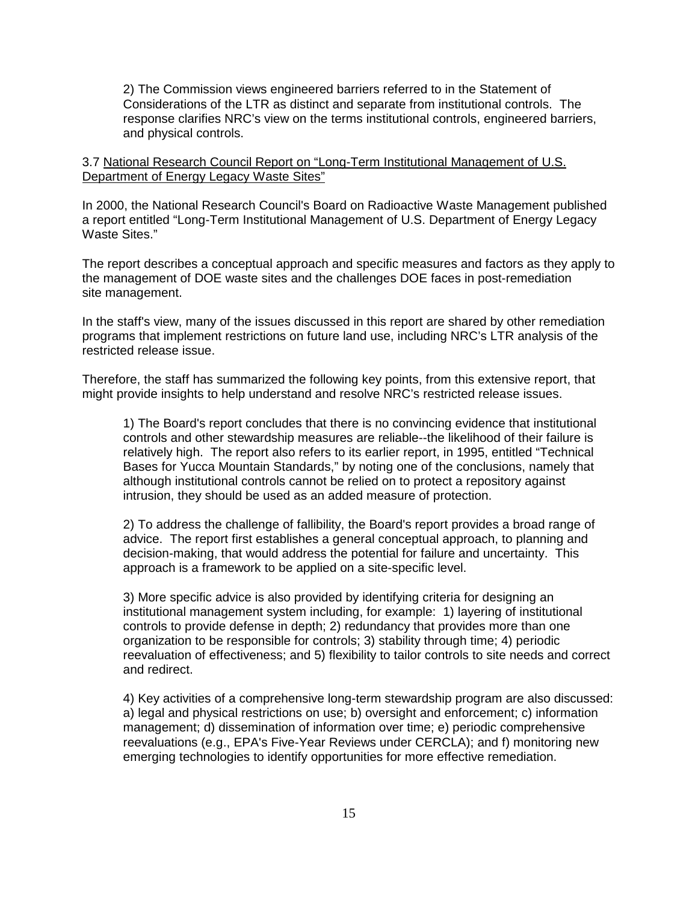2) The Commission views engineered barriers referred to in the Statement of Considerations of the LTR as distinct and separate from institutional controls. The response clarifies NRC's view on the terms institutional controls, engineered barriers, and physical controls.

3.7 National Research Council Report on "Long-Term Institutional Management of U.S. Department of Energy Legacy Waste Sites"

In 2000, the National Research Council's Board on Radioactive Waste Management published a report entitled "Long-Term Institutional Management of U.S. Department of Energy Legacy Waste Sites."

The report describes a conceptual approach and specific measures and factors as they apply to the management of DOE waste sites and the challenges DOE faces in post-remediation site management.

In the staff's view, many of the issues discussed in this report are shared by other remediation programs that implement restrictions on future land use, including NRC's LTR analysis of the restricted release issue.

Therefore, the staff has summarized the following key points, from this extensive report, that might provide insights to help understand and resolve NRC's restricted release issues.

1) The Board's report concludes that there is no convincing evidence that institutional controls and other stewardship measures are reliable--the likelihood of their failure is relatively high. The report also refers to its earlier report, in 1995, entitled "Technical Bases for Yucca Mountain Standards," by noting one of the conclusions, namely that although institutional controls cannot be relied on to protect a repository against intrusion, they should be used as an added measure of protection.

2) To address the challenge of fallibility, the Board's report provides a broad range of advice. The report first establishes a general conceptual approach, to planning and decision-making, that would address the potential for failure and uncertainty. This approach is a framework to be applied on a site-specific level.

3) More specific advice is also provided by identifying criteria for designing an institutional management system including, for example: 1) layering of institutional controls to provide defense in depth; 2) redundancy that provides more than one organization to be responsible for controls; 3) stability through time; 4) periodic reevaluation of effectiveness; and 5) flexibility to tailor controls to site needs and correct and redirect.

4) Key activities of a comprehensive long-term stewardship program are also discussed: a) legal and physical restrictions on use; b) oversight and enforcement; c) information management; d) dissemination of information over time; e) periodic comprehensive reevaluations (e.g., EPA's Five-Year Reviews under CERCLA); and f) monitoring new emerging technologies to identify opportunities for more effective remediation.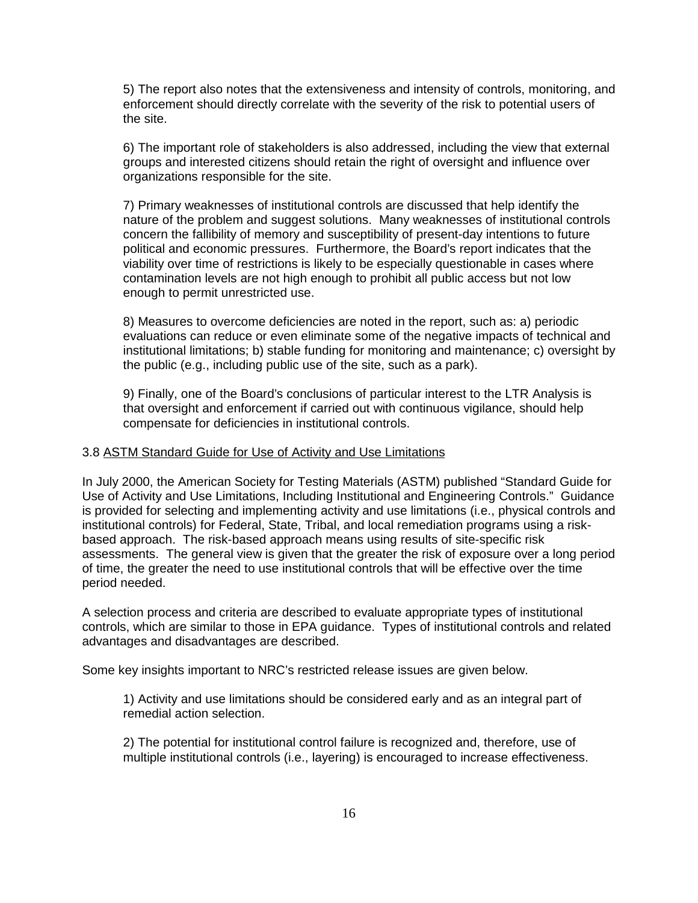5) The report also notes that the extensiveness and intensity of controls, monitoring, and enforcement should directly correlate with the severity of the risk to potential users of the site.

6) The important role of stakeholders is also addressed, including the view that external groups and interested citizens should retain the right of oversight and influence over organizations responsible for the site.

7) Primary weaknesses of institutional controls are discussed that help identify the nature of the problem and suggest solutions. Many weaknesses of institutional controls concern the fallibility of memory and susceptibility of present-day intentions to future political and economic pressures. Furthermore, the Board's report indicates that the viability over time of restrictions is likely to be especially questionable in cases where contamination levels are not high enough to prohibit all public access but not low enough to permit unrestricted use.

8) Measures to overcome deficiencies are noted in the report, such as: a) periodic evaluations can reduce or even eliminate some of the negative impacts of technical and institutional limitations; b) stable funding for monitoring and maintenance; c) oversight by the public (e.g., including public use of the site, such as a park).

9) Finally, one of the Board's conclusions of particular interest to the LTR Analysis is that oversight and enforcement if carried out with continuous vigilance, should help compensate for deficiencies in institutional controls.

#### 3.8 ASTM Standard Guide for Use of Activity and Use Limitations

In July 2000, the American Society for Testing Materials (ASTM) published "Standard Guide for Use of Activity and Use Limitations, Including Institutional and Engineering Controls." Guidance is provided for selecting and implementing activity and use limitations (i.e., physical controls and institutional controls) for Federal, State, Tribal, and local remediation programs using a riskbased approach. The risk-based approach means using results of site-specific risk assessments. The general view is given that the greater the risk of exposure over a long period of time, the greater the need to use institutional controls that will be effective over the time period needed.

A selection process and criteria are described to evaluate appropriate types of institutional controls, which are similar to those in EPA guidance. Types of institutional controls and related advantages and disadvantages are described.

Some key insights important to NRC's restricted release issues are given below.

1) Activity and use limitations should be considered early and as an integral part of remedial action selection.

2) The potential for institutional control failure is recognized and, therefore, use of multiple institutional controls (i.e., layering) is encouraged to increase effectiveness.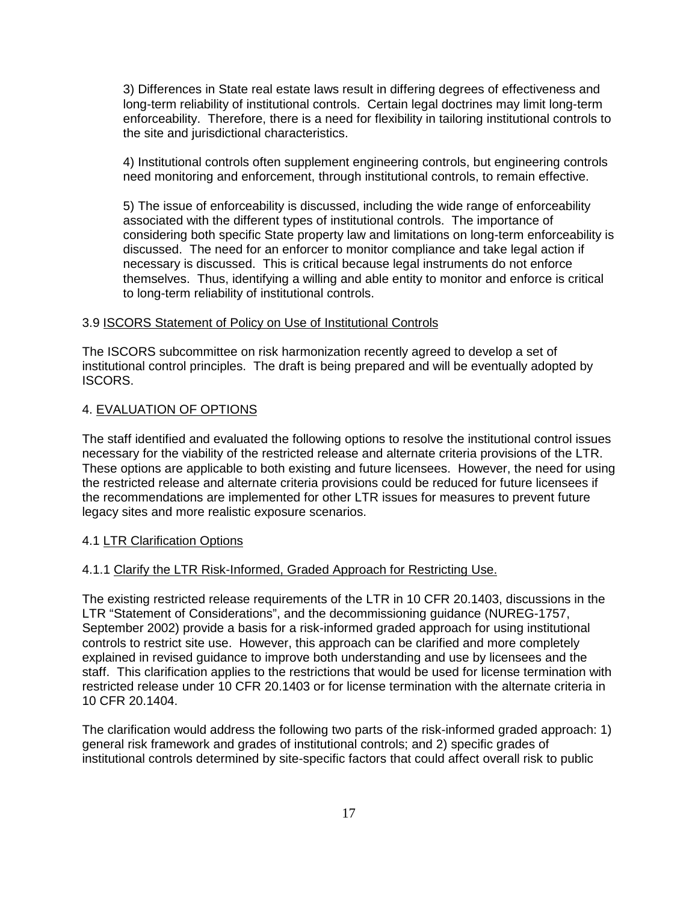3) Differences in State real estate laws result in differing degrees of effectiveness and long-term reliability of institutional controls. Certain legal doctrines may limit long-term enforceability. Therefore, there is a need for flexibility in tailoring institutional controls to the site and jurisdictional characteristics.

4) Institutional controls often supplement engineering controls, but engineering controls need monitoring and enforcement, through institutional controls, to remain effective.

5) The issue of enforceability is discussed, including the wide range of enforceability associated with the different types of institutional controls. The importance of considering both specific State property law and limitations on long-term enforceability is discussed. The need for an enforcer to monitor compliance and take legal action if necessary is discussed. This is critical because legal instruments do not enforce themselves. Thus, identifying a willing and able entity to monitor and enforce is critical to long-term reliability of institutional controls.

#### 3.9 ISCORS Statement of Policy on Use of Institutional Controls

The ISCORS subcommittee on risk harmonization recently agreed to develop a set of institutional control principles. The draft is being prepared and will be eventually adopted by ISCORS.

## 4. EVALUATION OF OPTIONS

The staff identified and evaluated the following options to resolve the institutional control issues necessary for the viability of the restricted release and alternate criteria provisions of the LTR. These options are applicable to both existing and future licensees. However, the need for using the restricted release and alternate criteria provisions could be reduced for future licensees if the recommendations are implemented for other LTR issues for measures to prevent future legacy sites and more realistic exposure scenarios.

## 4.1 LTR Clarification Options

#### 4.1.1 Clarify the LTR Risk-Informed, Graded Approach for Restricting Use.

The existing restricted release requirements of the LTR in 10 CFR 20.1403, discussions in the LTR "Statement of Considerations", and the decommissioning guidance (NUREG-1757, September 2002) provide a basis for a risk-informed graded approach for using institutional controls to restrict site use. However, this approach can be clarified and more completely explained in revised guidance to improve both understanding and use by licensees and the staff. This clarification applies to the restrictions that would be used for license termination with restricted release under 10 CFR 20.1403 or for license termination with the alternate criteria in 10 CFR 20.1404.

The clarification would address the following two parts of the risk-informed graded approach: 1) general risk framework and grades of institutional controls; and 2) specific grades of institutional controls determined by site-specific factors that could affect overall risk to public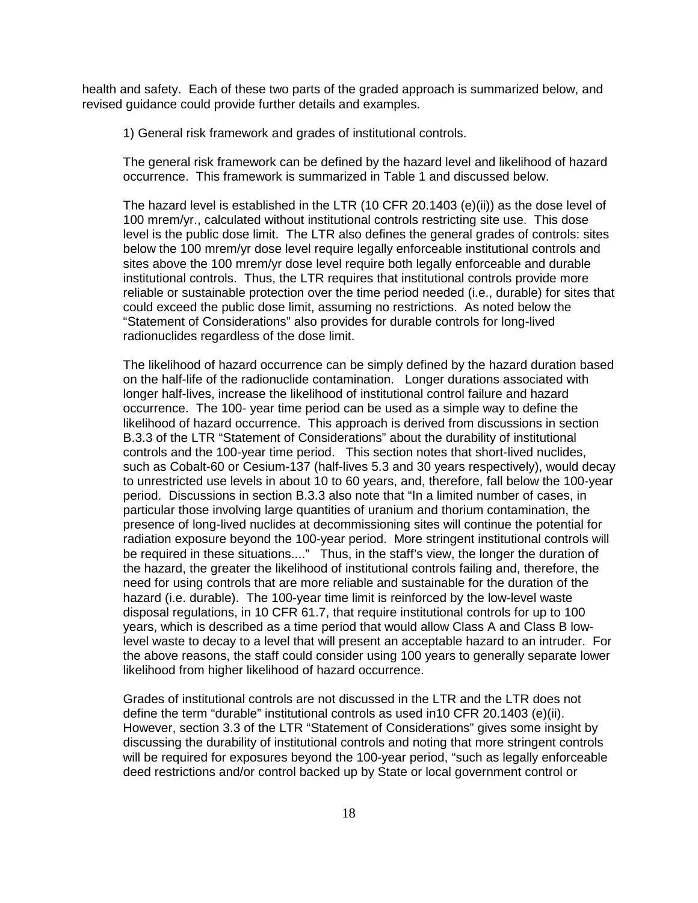health and safety. Each of these two parts of the graded approach is summarized below, and revised guidance could provide further details and examples.

1) General risk framework and grades of institutional controls.

The general risk framework can be defined by the hazard level and likelihood of hazard occurrence. This framework is summarized in Table 1 and discussed below.

The hazard level is established in the LTR  $(10$  CFR 20.1403  $(e)(ii)$  as the dose level of 100 mrem/yr., calculated without institutional controls restricting site use. This dose level is the public dose limit. The LTR also defines the general grades of controls: sites below the 100 mrem/yr dose level require legally enforceable institutional controls and sites above the 100 mrem/yr dose level require both legally enforceable and durable institutional controls. Thus, the LTR requires that institutional controls provide more reliable or sustainable protection over the time period needed (i.e., durable) for sites that could exceed the public dose limit, assuming no restrictions. As noted below the "Statement of Considerations" also provides for durable controls for long-lived radionuclides regardless of the dose limit.

The likelihood of hazard occurrence can be simply defined by the hazard duration based on the half-life of the radionuclide contamination. Longer durations associated with longer half-lives, increase the likelihood of institutional control failure and hazard occurrence. The 100- year time period can be used as a simple way to define the likelihood of hazard occurrence. This approach is derived from discussions in section B.3.3 of the LTR "Statement of Considerations" about the durability of institutional controls and the 100-year time period. This section notes that short-lived nuclides, such as Cobalt-60 or Cesium-137 (half-lives 5.3 and 30 years respectively), would decay to unrestricted use levels in about 10 to 60 years, and, therefore, fall below the 100-year period. Discussions in section B.3.3 also note that "In a limited number of cases, in particular those involving large quantities of uranium and thorium contamination, the presence of long-lived nuclides at decommissioning sites will continue the potential for radiation exposure beyond the 100-year period. More stringent institutional controls will be required in these situations...."Thus, in the staff's view, the longer the duration of the hazard, the greater the likelihood of institutional controls failing and, therefore, the need for using controls that are more reliable and sustainable for the duration of the hazard (i.e. durable). The 100-year time limit is reinforced by the low-level waste disposal regulations, in 10 CFR 61.7, that require institutional controls for up to 100 years, which is described as a time period that would allow Class A and Class B lowlevel waste to decay to a level that will present an acceptable hazard to an intruder. For the above reasons, the staff could consider using 100 years to generally separate lower likelihood from higher likelihood of hazard occurrence.

Grades of institutional controls are not discussed in the LTR and the LTR does not define the term "durable" institutional controls as used in10 CFR 20.1403 (e)(ii). However, section 3.3 of the LTR "Statement of Considerations" gives some insight by discussing the durability of institutional controls and noting that more stringent controls will be required for exposures beyond the 100-year period, "such as legally enforceable deed restrictions and/or control backed up by State or local government control or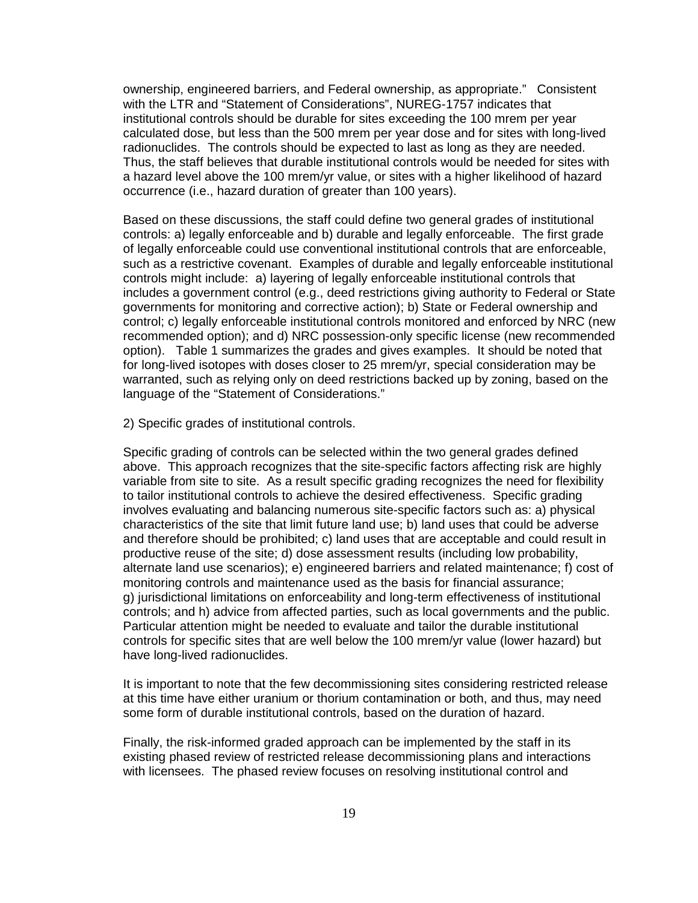ownership, engineered barriers, and Federal ownership, as appropriate." Consistent with the LTR and "Statement of Considerations", NUREG-1757 indicates that institutional controls should be durable for sites exceeding the 100 mrem per year calculated dose, but less than the 500 mrem per year dose and for sites with long-lived radionuclides. The controls should be expected to last as long as they are needed. Thus, the staff believes that durable institutional controls would be needed for sites with a hazard level above the 100 mrem/yr value, or sites with a higher likelihood of hazard occurrence (i.e., hazard duration of greater than 100 years).

Based on these discussions, the staff could define two general grades of institutional controls: a) legally enforceable and b) durable and legally enforceable. The first grade of legally enforceable could use conventional institutional controls that are enforceable, such as a restrictive covenant. Examples of durable and legally enforceable institutional controls might include: a) layering of legally enforceable institutional controls that includes a government control (e.g., deed restrictions giving authority to Federal or State governments for monitoring and corrective action); b) State or Federal ownership and control; c) legally enforceable institutional controls monitored and enforced by NRC (new recommended option); and d) NRC possession-only specific license (new recommended option). Table 1 summarizes the grades and gives examples. It should be noted that for long-lived isotopes with doses closer to 25 mrem/yr, special consideration may be warranted, such as relying only on deed restrictions backed up by zoning, based on the language of the "Statement of Considerations."

2) Specific grades of institutional controls.

Specific grading of controls can be selected within the two general grades defined above. This approach recognizes that the site-specific factors affecting risk are highly variable from site to site. As a result specific grading recognizes the need for flexibility to tailor institutional controls to achieve the desired effectiveness. Specific grading involves evaluating and balancing numerous site-specific factors such as: a) physical characteristics of the site that limit future land use; b) land uses that could be adverse and therefore should be prohibited; c) land uses that are acceptable and could result in productive reuse of the site; d) dose assessment results (including low probability, alternate land use scenarios); e) engineered barriers and related maintenance; f) cost of monitoring controls and maintenance used as the basis for financial assurance; g) jurisdictional limitations on enforceability and long-term effectiveness of institutional controls; and h) advice from affected parties, such as local governments and the public. Particular attention might be needed to evaluate and tailor the durable institutional controls for specific sites that are well below the 100 mrem/yr value (lower hazard) but have long-lived radionuclides.

It is important to note that the few decommissioning sites considering restricted release at this time have either uranium or thorium contamination or both, and thus, may need some form of durable institutional controls, based on the duration of hazard.

Finally, the risk-informed graded approach can be implemented by the staff in its existing phased review of restricted release decommissioning plans and interactions with licensees. The phased review focuses on resolving institutional control and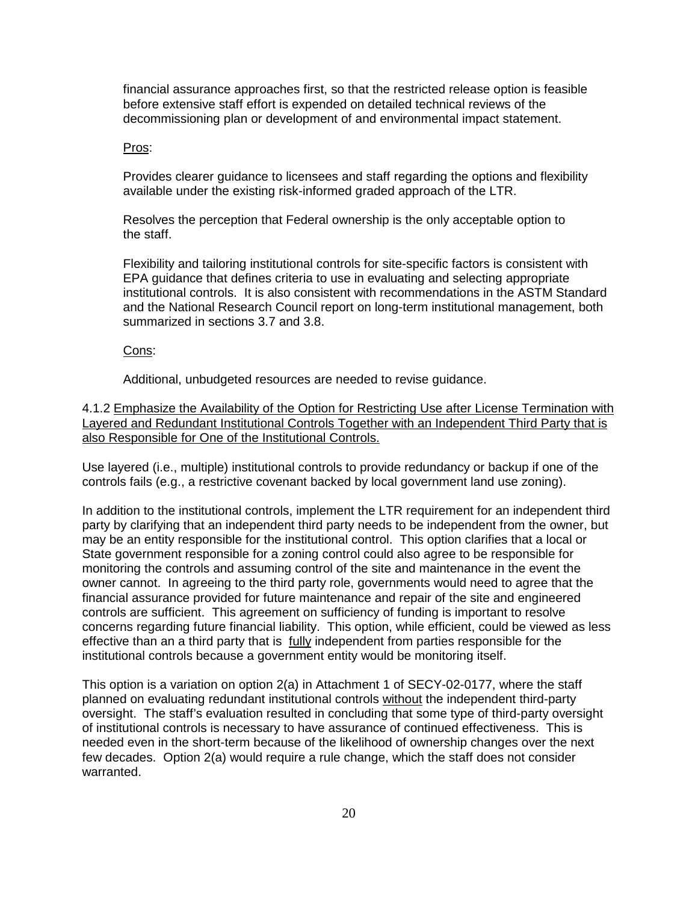financial assurance approaches first, so that the restricted release option is feasible before extensive staff effort is expended on detailed technical reviews of the decommissioning plan or development of and environmental impact statement.

### Pros:

Provides clearer guidance to licensees and staff regarding the options and flexibility available under the existing risk-informed graded approach of the LTR.

Resolves the perception that Federal ownership is the only acceptable option to the staff.

Flexibility and tailoring institutional controls for site-specific factors is consistent with EPA guidance that defines criteria to use in evaluating and selecting appropriate institutional controls. It is also consistent with recommendations in the ASTM Standard and the National Research Council report on long-term institutional management, both summarized in sections 3.7 and 3.8.

Cons:

Additional, unbudgeted resources are needed to revise guidance.

4.1.2 Emphasize the Availability of the Option for Restricting Use after License Termination with Layered and Redundant Institutional Controls Together with an Independent Third Party that is also Responsible for One of the Institutional Controls.

Use layered (i.e., multiple) institutional controls to provide redundancy or backup if one of the controls fails (e.g., a restrictive covenant backed by local government land use zoning).

In addition to the institutional controls, implement the LTR requirement for an independent third party by clarifying that an independent third party needs to be independent from the owner, but may be an entity responsible for the institutional control. This option clarifies that a local or State government responsible for a zoning control could also agree to be responsible for monitoring the controls and assuming control of the site and maintenance in the event the owner cannot. In agreeing to the third party role, governments would need to agree that the financial assurance provided for future maintenance and repair of the site and engineered controls are sufficient. This agreement on sufficiency of funding is important to resolve concerns regarding future financial liability. This option, while efficient, could be viewed as less effective than an a third party that is fully independent from parties responsible for the institutional controls because a government entity would be monitoring itself.

This option is a variation on option 2(a) in Attachment 1 of SECY-02-0177, where the staff planned on evaluating redundant institutional controls without the independent third-party oversight. The staff's evaluation resulted in concluding that some type of third-party oversight of institutional controls is necessary to have assurance of continued effectiveness. This is needed even in the short-term because of the likelihood of ownership changes over the next few decades. Option 2(a) would require a rule change, which the staff does not consider warranted.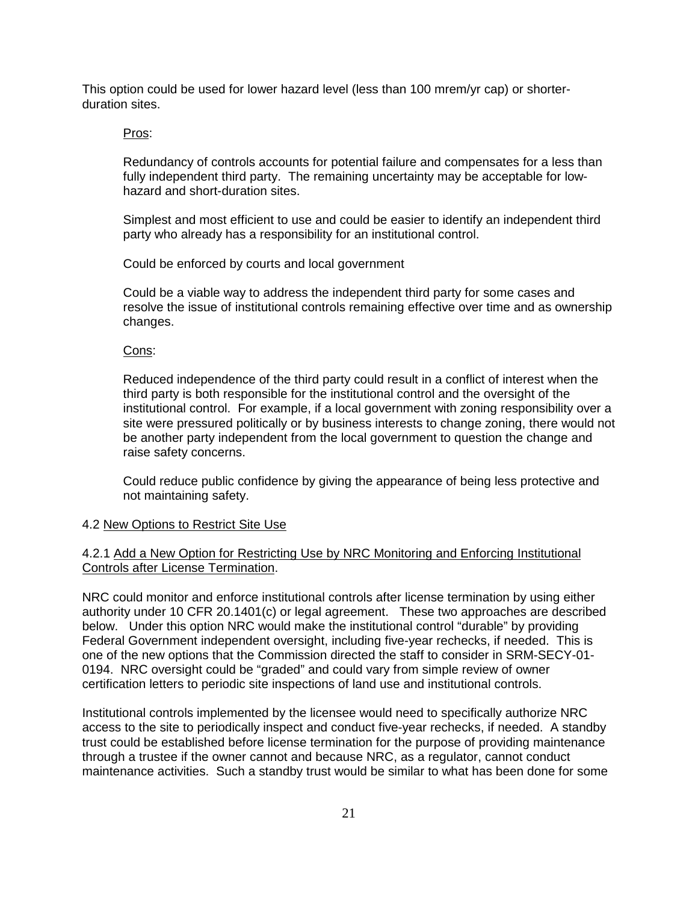This option could be used for lower hazard level (less than 100 mrem/yr cap) or shorterduration sites.

### Pros:

Redundancy of controls accounts for potential failure and compensates for a less than fully independent third party. The remaining uncertainty may be acceptable for lowhazard and short-duration sites.

Simplest and most efficient to use and could be easier to identify an independent third party who already has a responsibility for an institutional control.

Could be enforced by courts and local government

Could be a viable way to address the independent third party for some cases and resolve the issue of institutional controls remaining effective over time and as ownership changes.

### Cons:

Reduced independence of the third party could result in a conflict of interest when the third party is both responsible for the institutional control and the oversight of the institutional control. For example, if a local government with zoning responsibility over a site were pressured politically or by business interests to change zoning, there would not be another party independent from the local government to question the change and raise safety concerns.

Could reduce public confidence by giving the appearance of being less protective and not maintaining safety.

### 4.2 New Options to Restrict Site Use

## 4.2.1 Add a New Option for Restricting Use by NRC Monitoring and Enforcing Institutional Controls after License Termination.

NRC could monitor and enforce institutional controls after license termination by using either authority under 10 CFR 20.1401(c) or legal agreement. These two approaches are described below. Under this option NRC would make the institutional control "durable" by providing Federal Government independent oversight, including five-year rechecks, if needed. This is one of the new options that the Commission directed the staff to consider in SRM-SECY-01- 0194. NRC oversight could be "graded" and could vary from simple review of owner certification letters to periodic site inspections of land use and institutional controls.

Institutional controls implemented by the licensee would need to specifically authorize NRC access to the site to periodically inspect and conduct five-year rechecks, if needed. A standby trust could be established before license termination for the purpose of providing maintenance through a trustee if the owner cannot and because NRC, as a regulator, cannot conduct maintenance activities. Such a standby trust would be similar to what has been done for some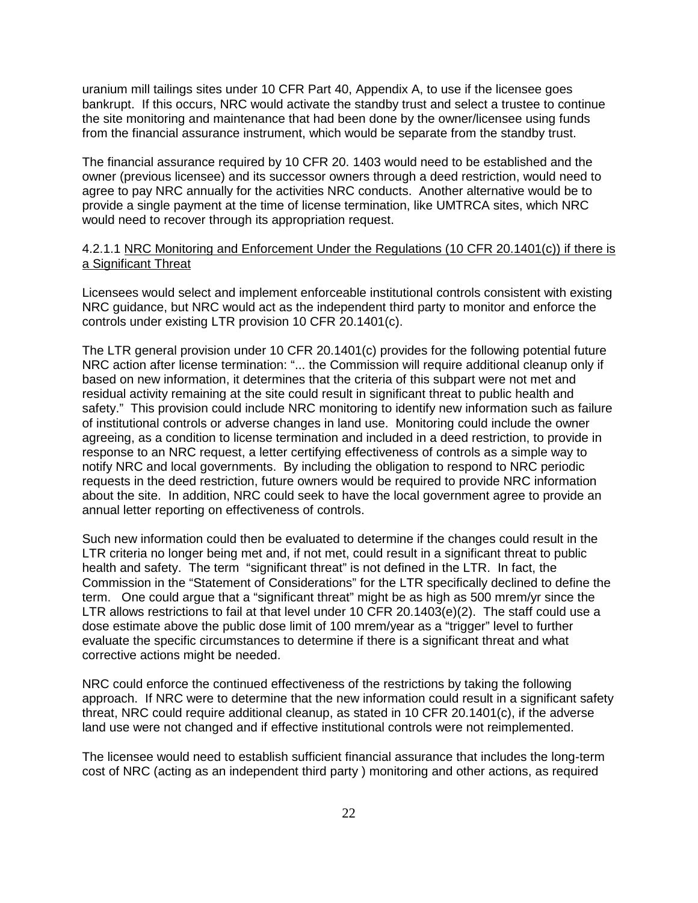uranium mill tailings sites under 10 CFR Part 40, Appendix A, to use if the licensee goes bankrupt. If this occurs, NRC would activate the standby trust and select a trustee to continue the site monitoring and maintenance that had been done by the owner/licensee using funds from the financial assurance instrument, which would be separate from the standby trust.

The financial assurance required by 10 CFR 20. 1403 would need to be established and the owner (previous licensee) and its successor owners through a deed restriction, would need to agree to pay NRC annually for the activities NRC conducts. Another alternative would be to provide a single payment at the time of license termination, like UMTRCA sites, which NRC would need to recover through its appropriation request.

# 4.2.1.1 NRC Monitoring and Enforcement Under the Regulations (10 CFR 20.1401(c)) if there is a Significant Threat

Licensees would select and implement enforceable institutional controls consistent with existing NRC guidance, but NRC would act as the independent third party to monitor and enforce the controls under existing LTR provision 10 CFR 20.1401(c).

The LTR general provision under 10 CFR 20.1401(c) provides for the following potential future NRC action after license termination: "... the Commission will require additional cleanup only if based on new information, it determines that the criteria of this subpart were not met and residual activity remaining at the site could result in significant threat to public health and safety." This provision could include NRC monitoring to identify new information such as failure of institutional controls or adverse changes in land use. Monitoring could include the owner agreeing, as a condition to license termination and included in a deed restriction, to provide in response to an NRC request, a letter certifying effectiveness of controls as a simple way to notify NRC and local governments. By including the obligation to respond to NRC periodic requests in the deed restriction, future owners would be required to provide NRC information about the site. In addition, NRC could seek to have the local government agree to provide an annual letter reporting on effectiveness of controls.

Such new information could then be evaluated to determine if the changes could result in the LTR criteria no longer being met and, if not met, could result in a significant threat to public health and safety. The term "significant threat" is not defined in the LTR. In fact, the Commission in the "Statement of Considerations" for the LTR specifically declined to define the term. One could argue that a "significant threat" might be as high as 500 mrem/yr since the LTR allows restrictions to fail at that level under 10 CFR 20.1403(e)(2). The staff could use a dose estimate above the public dose limit of 100 mrem/year as a "trigger" level to further evaluate the specific circumstances to determine if there is a significant threat and what corrective actions might be needed.

NRC could enforce the continued effectiveness of the restrictions by taking the following approach. If NRC were to determine that the new information could result in a significant safety threat, NRC could require additional cleanup, as stated in 10 CFR 20.1401(c), if the adverse land use were not changed and if effective institutional controls were not reimplemented.

The licensee would need to establish sufficient financial assurance that includes the long-term cost of NRC (acting as an independent third party ) monitoring and other actions, as required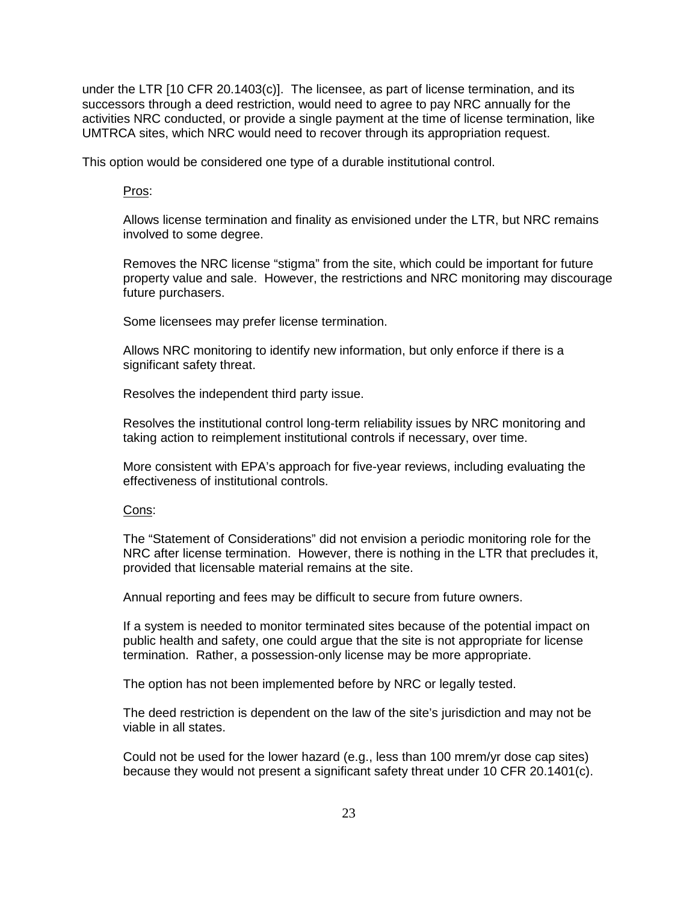under the LTR [10 CFR 20.1403(c)]. The licensee, as part of license termination, and its successors through a deed restriction, would need to agree to pay NRC annually for the activities NRC conducted, or provide a single payment at the time of license termination, like UMTRCA sites, which NRC would need to recover through its appropriation request.

This option would be considered one type of a durable institutional control.

Pros:

Allows license termination and finality as envisioned under the LTR, but NRC remains involved to some degree.

Removes the NRC license "stigma" from the site, which could be important for future property value and sale. However, the restrictions and NRC monitoring may discourage future purchasers.

Some licensees may prefer license termination.

Allows NRC monitoring to identify new information, but only enforce if there is a significant safety threat.

Resolves the independent third party issue.

Resolves the institutional control long-term reliability issues by NRC monitoring and taking action to reimplement institutional controls if necessary, over time.

More consistent with EPA's approach for five-year reviews, including evaluating the effectiveness of institutional controls.

Cons:

The "Statement of Considerations" did not envision a periodic monitoring role for the NRC after license termination. However, there is nothing in the LTR that precludes it, provided that licensable material remains at the site.

Annual reporting and fees may be difficult to secure from future owners.

If a system is needed to monitor terminated sites because of the potential impact on public health and safety, one could argue that the site is not appropriate for license termination. Rather, a possession-only license may be more appropriate.

The option has not been implemented before by NRC or legally tested.

The deed restriction is dependent on the law of the site's jurisdiction and may not be viable in all states.

Could not be used for the lower hazard (e.g., less than 100 mrem/yr dose cap sites) because they would not present a significant safety threat under 10 CFR 20.1401(c).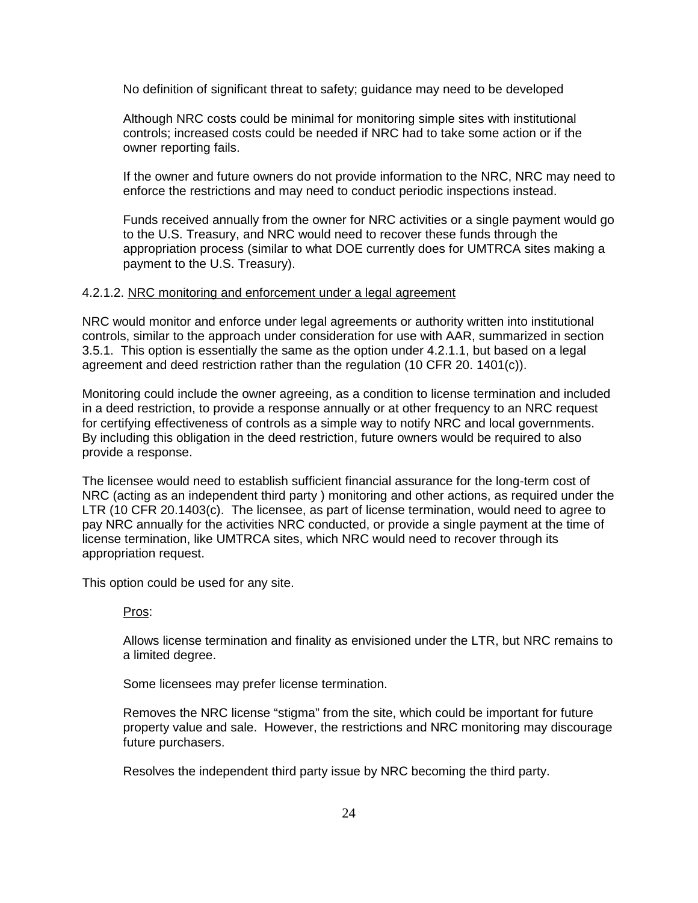No definition of significant threat to safety; guidance may need to be developed

Although NRC costs could be minimal for monitoring simple sites with institutional controls; increased costs could be needed if NRC had to take some action or if the owner reporting fails.

If the owner and future owners do not provide information to the NRC, NRC may need to enforce the restrictions and may need to conduct periodic inspections instead.

Funds received annually from the owner for NRC activities or a single payment would go to the U.S. Treasury, and NRC would need to recover these funds through the appropriation process (similar to what DOE currently does for UMTRCA sites making a payment to the U.S. Treasury).

## 4.2.1.2. NRC monitoring and enforcement under a legal agreement

NRC would monitor and enforce under legal agreements or authority written into institutional controls, similar to the approach under consideration for use with AAR, summarized in section 3.5.1. This option is essentially the same as the option under 4.2.1.1, but based on a legal agreement and deed restriction rather than the regulation (10 CFR 20. 1401(c)).

Monitoring could include the owner agreeing, as a condition to license termination and included in a deed restriction, to provide a response annually or at other frequency to an NRC request for certifying effectiveness of controls as a simple way to notify NRC and local governments. By including this obligation in the deed restriction, future owners would be required to also provide a response.

The licensee would need to establish sufficient financial assurance for the long-term cost of NRC (acting as an independent third party ) monitoring and other actions, as required under the LTR (10 CFR 20.1403(c). The licensee, as part of license termination, would need to agree to pay NRC annually for the activities NRC conducted, or provide a single payment at the time of license termination, like UMTRCA sites, which NRC would need to recover through its appropriation request.

This option could be used for any site.

# Pros:

Allows license termination and finality as envisioned under the LTR, but NRC remains to a limited degree.

Some licensees may prefer license termination.

Removes the NRC license "stigma" from the site, which could be important for future property value and sale. However, the restrictions and NRC monitoring may discourage future purchasers.

Resolves the independent third party issue by NRC becoming the third party.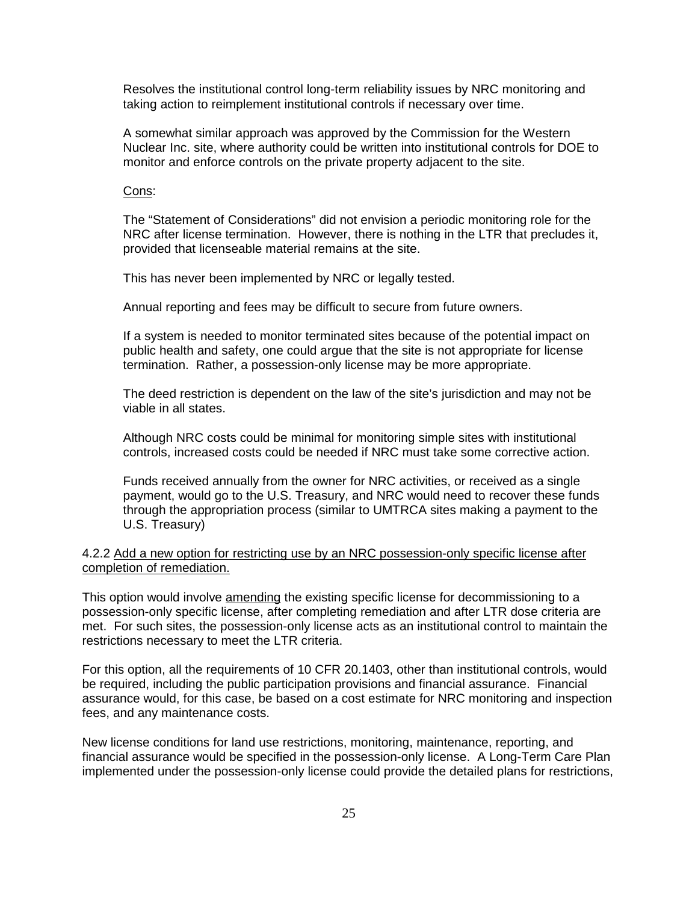Resolves the institutional control long-term reliability issues by NRC monitoring and taking action to reimplement institutional controls if necessary over time.

A somewhat similar approach was approved by the Commission for the Western Nuclear Inc. site, where authority could be written into institutional controls for DOE to monitor and enforce controls on the private property adjacent to the site.

Cons:

The "Statement of Considerations" did not envision a periodic monitoring role for the NRC after license termination. However, there is nothing in the LTR that precludes it, provided that licenseable material remains at the site.

This has never been implemented by NRC or legally tested.

Annual reporting and fees may be difficult to secure from future owners.

If a system is needed to monitor terminated sites because of the potential impact on public health and safety, one could argue that the site is not appropriate for license termination. Rather, a possession-only license may be more appropriate.

The deed restriction is dependent on the law of the site's jurisdiction and may not be viable in all states.

Although NRC costs could be minimal for monitoring simple sites with institutional controls, increased costs could be needed if NRC must take some corrective action.

Funds received annually from the owner for NRC activities, or received as a single payment, would go to the U.S. Treasury, and NRC would need to recover these funds through the appropriation process (similar to UMTRCA sites making a payment to the U.S. Treasury)

## 4.2.2 Add a new option for restricting use by an NRC possession-only specific license after completion of remediation.

This option would involve amending the existing specific license for decommissioning to a possession-only specific license, after completing remediation and after LTR dose criteria are met. For such sites, the possession-only license acts as an institutional control to maintain the restrictions necessary to meet the LTR criteria.

For this option, all the requirements of 10 CFR 20.1403, other than institutional controls, would be required, including the public participation provisions and financial assurance. Financial assurance would, for this case, be based on a cost estimate for NRC monitoring and inspection fees, and any maintenance costs.

New license conditions for land use restrictions, monitoring, maintenance, reporting, and financial assurance would be specified in the possession-only license. A Long-Term Care Plan implemented under the possession-only license could provide the detailed plans for restrictions,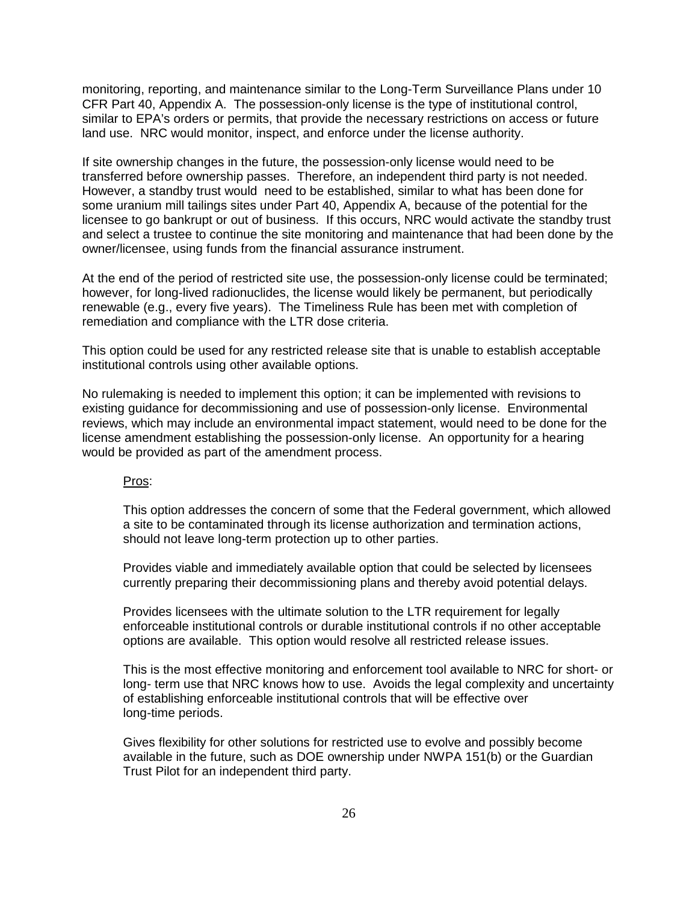monitoring, reporting, and maintenance similar to the Long-Term Surveillance Plans under 10 CFR Part 40, Appendix A. The possession-only license is the type of institutional control, similar to EPA's orders or permits, that provide the necessary restrictions on access or future land use. NRC would monitor, inspect, and enforce under the license authority.

If site ownership changes in the future, the possession-only license would need to be transferred before ownership passes. Therefore, an independent third party is not needed. However, a standby trust would need to be established, similar to what has been done for some uranium mill tailings sites under Part 40, Appendix A, because of the potential for the licensee to go bankrupt or out of business. If this occurs, NRC would activate the standby trust and select a trustee to continue the site monitoring and maintenance that had been done by the owner/licensee, using funds from the financial assurance instrument.

At the end of the period of restricted site use, the possession-only license could be terminated; however, for long-lived radionuclides, the license would likely be permanent, but periodically renewable (e.g., every five years). The Timeliness Rule has been met with completion of remediation and compliance with the LTR dose criteria.

This option could be used for any restricted release site that is unable to establish acceptable institutional controls using other available options.

No rulemaking is needed to implement this option; it can be implemented with revisions to existing guidance for decommissioning and use of possession-only license. Environmental reviews, which may include an environmental impact statement, would need to be done for the license amendment establishing the possession-only license. An opportunity for a hearing would be provided as part of the amendment process.

#### Pros:

This option addresses the concern of some that the Federal government, which allowed a site to be contaminated through its license authorization and termination actions, should not leave long-term protection up to other parties.

Provides viable and immediately available option that could be selected by licensees currently preparing their decommissioning plans and thereby avoid potential delays.

Provides licensees with the ultimate solution to the LTR requirement for legally enforceable institutional controls or durable institutional controls if no other acceptable options are available. This option would resolve all restricted release issues.

This is the most effective monitoring and enforcement tool available to NRC for short- or long- term use that NRC knows how to use. Avoids the legal complexity and uncertainty of establishing enforceable institutional controls that will be effective over long-time periods.

Gives flexibility for other solutions for restricted use to evolve and possibly become available in the future, such as DOE ownership under NWPA 151(b) or the Guardian Trust Pilot for an independent third party.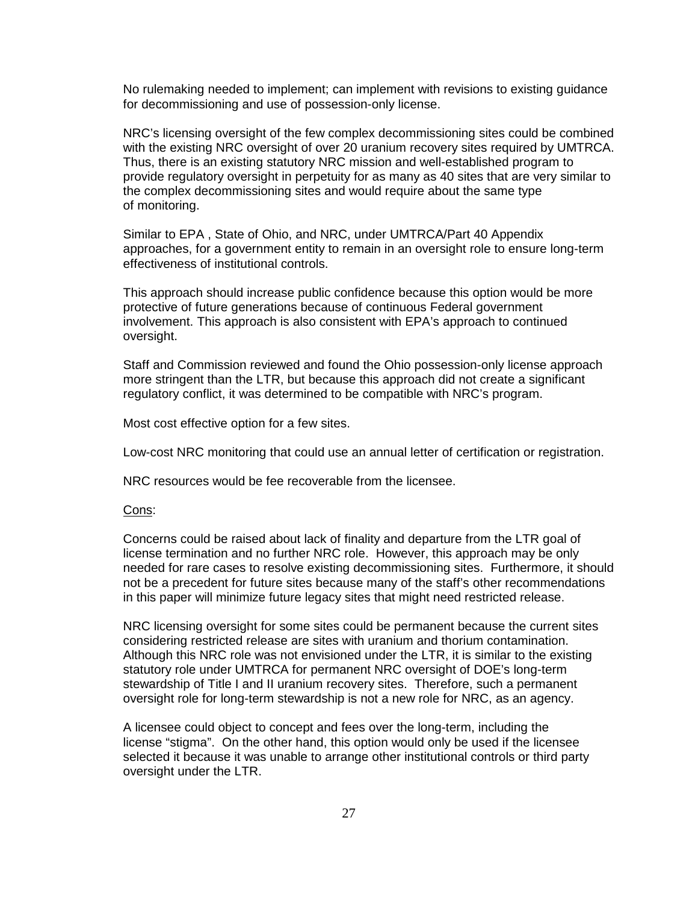No rulemaking needed to implement; can implement with revisions to existing guidance for decommissioning and use of possession-only license.

NRC's licensing oversight of the few complex decommissioning sites could be combined with the existing NRC oversight of over 20 uranium recovery sites required by UMTRCA. Thus, there is an existing statutory NRC mission and well-established program to provide regulatory oversight in perpetuity for as many as 40 sites that are very similar to the complex decommissioning sites and would require about the same type of monitoring.

Similar to EPA , State of Ohio, and NRC, under UMTRCA/Part 40 Appendix approaches, for a government entity to remain in an oversight role to ensure long-term effectiveness of institutional controls.

This approach should increase public confidence because this option would be more protective of future generations because of continuous Federal government involvement. This approach is also consistent with EPA's approach to continued oversight.

Staff and Commission reviewed and found the Ohio possession-only license approach more stringent than the LTR, but because this approach did not create a significant regulatory conflict, it was determined to be compatible with NRC's program.

Most cost effective option for a few sites.

Low-cost NRC monitoring that could use an annual letter of certification or registration.

NRC resources would be fee recoverable from the licensee.

Cons:

Concerns could be raised about lack of finality and departure from the LTR goal of license termination and no further NRC role. However, this approach may be only needed for rare cases to resolve existing decommissioning sites. Furthermore, it should not be a precedent for future sites because many of the staff's other recommendations in this paper will minimize future legacy sites that might need restricted release.

NRC licensing oversight for some sites could be permanent because the current sites considering restricted release are sites with uranium and thorium contamination. Although this NRC role was not envisioned under the LTR, it is similar to the existing statutory role under UMTRCA for permanent NRC oversight of DOE's long-term stewardship of Title I and II uranium recovery sites. Therefore, such a permanent oversight role for long-term stewardship is not a new role for NRC, as an agency.

A licensee could object to concept and fees over the long-term, including the license "stigma". On the other hand, this option would only be used if the licensee selected it because it was unable to arrange other institutional controls or third party oversight under the LTR.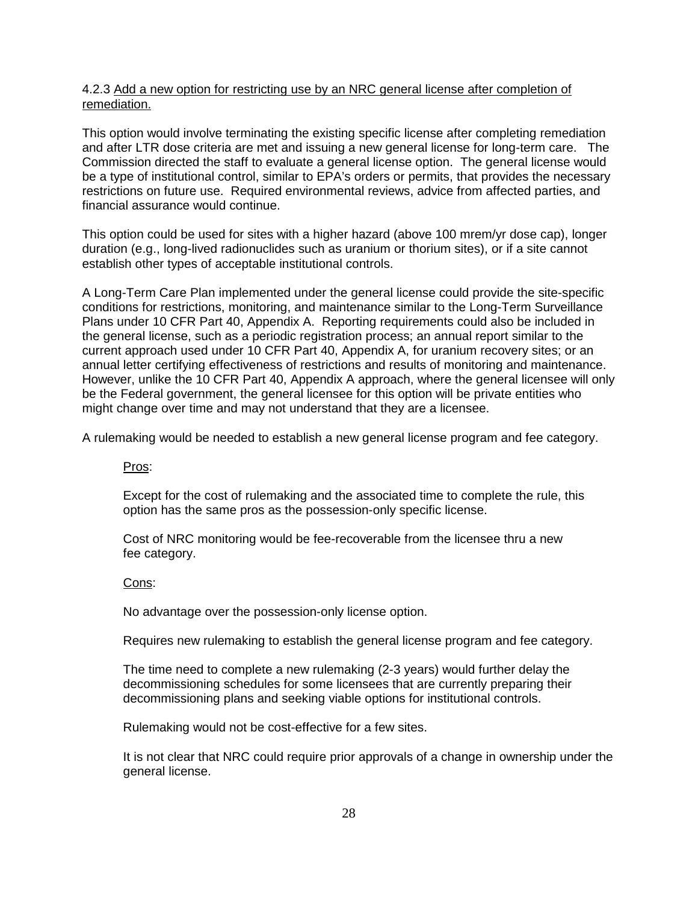# 4.2.3 Add a new option for restricting use by an NRC general license after completion of remediation.

This option would involve terminating the existing specific license after completing remediation and after LTR dose criteria are met and issuing a new general license for long-term care. The Commission directed the staff to evaluate a general license option. The general license would be a type of institutional control, similar to EPA's orders or permits, that provides the necessary restrictions on future use. Required environmental reviews, advice from affected parties, and financial assurance would continue.

This option could be used for sites with a higher hazard (above 100 mrem/yr dose cap), longer duration (e.g., long-lived radionuclides such as uranium or thorium sites), or if a site cannot establish other types of acceptable institutional controls.

A Long-Term Care Plan implemented under the general license could provide the site-specific conditions for restrictions, monitoring, and maintenance similar to the Long-Term Surveillance Plans under 10 CFR Part 40, Appendix A. Reporting requirements could also be included in the general license, such as a periodic registration process; an annual report similar to the current approach used under 10 CFR Part 40, Appendix A, for uranium recovery sites; or an annual letter certifying effectiveness of restrictions and results of monitoring and maintenance. However, unlike the 10 CFR Part 40, Appendix A approach, where the general licensee will only be the Federal government, the general licensee for this option will be private entities who might change over time and may not understand that they are a licensee.

A rulemaking would be needed to establish a new general license program and fee category.

Pros:

Except for the cost of rulemaking and the associated time to complete the rule, this option has the same pros as the possession-only specific license.

Cost of NRC monitoring would be fee-recoverable from the licensee thru a new fee category.

### Cons:

No advantage over the possession-only license option.

Requires new rulemaking to establish the general license program and fee category.

The time need to complete a new rulemaking (2-3 years) would further delay the decommissioning schedules for some licensees that are currently preparing their decommissioning plans and seeking viable options for institutional controls.

Rulemaking would not be cost-effective for a few sites.

It is not clear that NRC could require prior approvals of a change in ownership under the general license.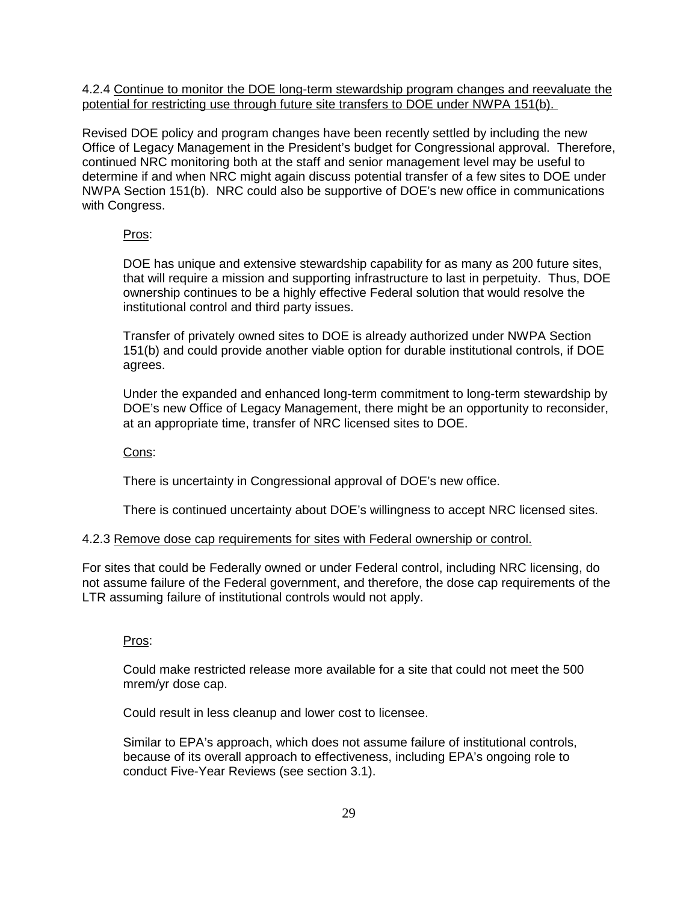4.2.4 Continue to monitor the DOE long-term stewardship program changes and reevaluate the potential for restricting use through future site transfers to DOE under NWPA 151(b).

Revised DOE policy and program changes have been recently settled by including the new Office of Legacy Management in the President's budget for Congressional approval. Therefore, continued NRC monitoring both at the staff and senior management level may be useful to determine if and when NRC might again discuss potential transfer of a few sites to DOE under NWPA Section 151(b). NRC could also be supportive of DOE's new office in communications with Congress.

# Pros:

DOE has unique and extensive stewardship capability for as many as 200 future sites, that will require a mission and supporting infrastructure to last in perpetuity. Thus, DOE ownership continues to be a highly effective Federal solution that would resolve the institutional control and third party issues.

Transfer of privately owned sites to DOE is already authorized under NWPA Section 151(b) and could provide another viable option for durable institutional controls, if DOE agrees.

Under the expanded and enhanced long-term commitment to long-term stewardship by DOE's new Office of Legacy Management, there might be an opportunity to reconsider, at an appropriate time, transfer of NRC licensed sites to DOE.

Cons:

There is uncertainty in Congressional approval of DOE's new office.

There is continued uncertainty about DOE's willingness to accept NRC licensed sites.

# 4.2.3 Remove dose cap requirements for sites with Federal ownership or control.

For sites that could be Federally owned or under Federal control, including NRC licensing, do not assume failure of the Federal government, and therefore, the dose cap requirements of the LTR assuming failure of institutional controls would not apply.

# Pros:

Could make restricted release more available for a site that could not meet the 500 mrem/yr dose cap.

Could result in less cleanup and lower cost to licensee.

Similar to EPA's approach, which does not assume failure of institutional controls, because of its overall approach to effectiveness, including EPA's ongoing role to conduct Five-Year Reviews (see section 3.1).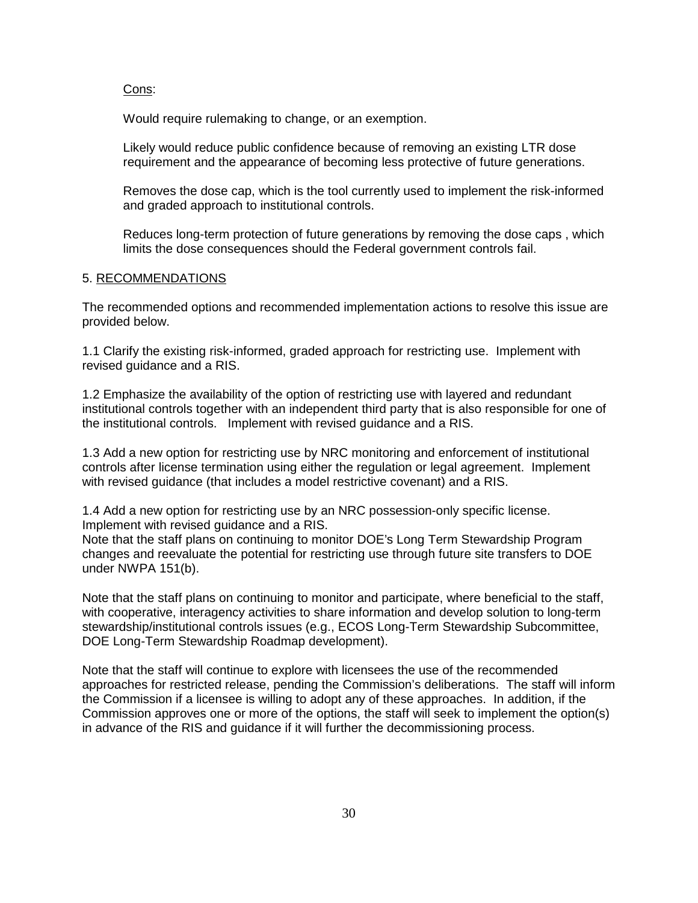Cons:

Would require rulemaking to change, or an exemption.

Likely would reduce public confidence because of removing an existing LTR dose requirement and the appearance of becoming less protective of future generations.

Removes the dose cap, which is the tool currently used to implement the risk-informed and graded approach to institutional controls.

Reduces long-term protection of future generations by removing the dose caps , which limits the dose consequences should the Federal government controls fail.

#### 5. RECOMMENDATIONS

The recommended options and recommended implementation actions to resolve this issue are provided below.

1.1 Clarify the existing risk-informed, graded approach for restricting use. Implement with revised guidance and a RIS.

1.2 Emphasize the availability of the option of restricting use with layered and redundant institutional controls together with an independent third party that is also responsible for one of the institutional controls. Implement with revised guidance and a RIS.

1.3 Add a new option for restricting use by NRC monitoring and enforcement of institutional controls after license termination using either the regulation or legal agreement. Implement with revised guidance (that includes a model restrictive covenant) and a RIS.

1.4 Add a new option for restricting use by an NRC possession-only specific license. Implement with revised guidance and a RIS.

Note that the staff plans on continuing to monitor DOE's Long Term Stewardship Program changes and reevaluate the potential for restricting use through future site transfers to DOE under NWPA 151(b).

Note that the staff plans on continuing to monitor and participate, where beneficial to the staff, with cooperative, interagency activities to share information and develop solution to long-term stewardship/institutional controls issues (e.g., ECOS Long-Term Stewardship Subcommittee, DOE Long-Term Stewardship Roadmap development).

Note that the staff will continue to explore with licensees the use of the recommended approaches for restricted release, pending the Commission's deliberations. The staff will inform the Commission if a licensee is willing to adopt any of these approaches. In addition, if the Commission approves one or more of the options, the staff will seek to implement the option(s) in advance of the RIS and guidance if it will further the decommissioning process.